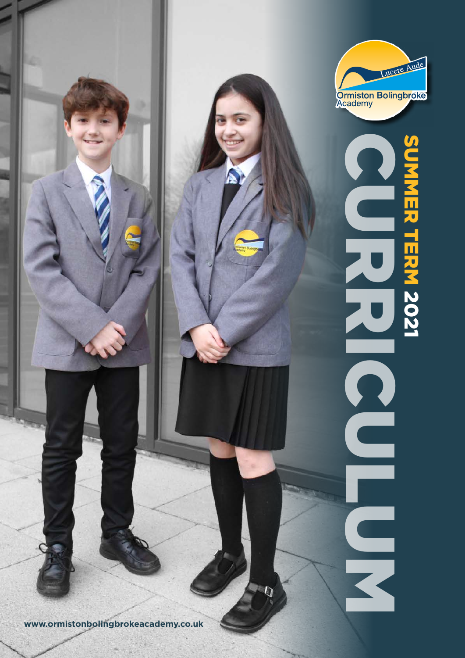

**www.ormistonbolingbrokeacademy.co.uk**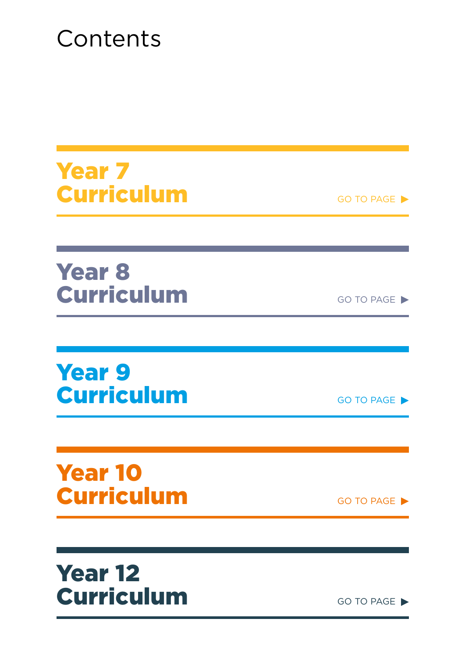# **Contents**

Year 7 Curriculum GO TO PAGE

Year 8 Curriculum GO TO PAGE

Year 9 Curriculum GO TO PAGE

Year 10 Curriculum GO TO PAGE

Year 12 Curriculum GO TO PAGE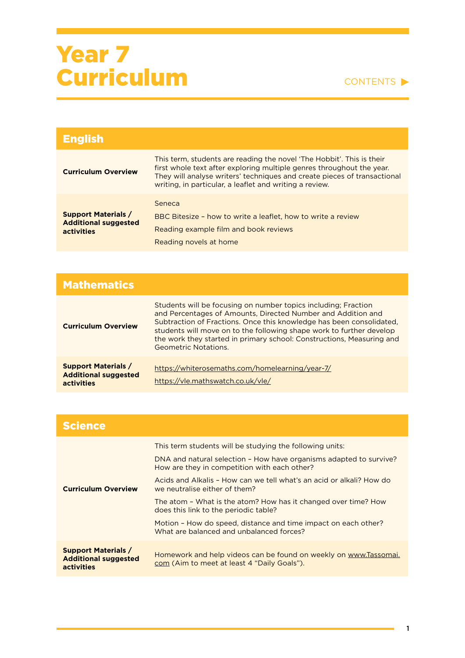| <b>English</b>                                                          |                                                                                                                                                                                                                                                                                       |
|-------------------------------------------------------------------------|---------------------------------------------------------------------------------------------------------------------------------------------------------------------------------------------------------------------------------------------------------------------------------------|
| <b>Curriculum Overview</b>                                              | This term, students are reading the novel 'The Hobbit'. This is their<br>first whole text after exploring multiple genres throughout the year.<br>They will analyse writers' techniques and create pieces of transactional<br>writing, in particular, a leaflet and writing a review. |
| <b>Support Materials /</b><br><b>Additional suggested</b><br>activities | Seneca<br>BBC Bitesize - how to write a leaflet, how to write a review<br>Reading example film and book reviews<br>Reading novels at home                                                                                                                                             |

| <b>Mathematics</b>                                                      |                                                                                                                                                                                                                                                                                                                                                                                 |
|-------------------------------------------------------------------------|---------------------------------------------------------------------------------------------------------------------------------------------------------------------------------------------------------------------------------------------------------------------------------------------------------------------------------------------------------------------------------|
| <b>Curriculum Overview</b>                                              | Students will be focusing on number topics including; Fraction<br>and Percentages of Amounts, Directed Number and Addition and<br>Subtraction of Fractions. Once this knowledge has been consolidated.<br>students will move on to the following shape work to further develop<br>the work they started in primary school: Constructions, Measuring and<br>Geometric Notations. |
| <b>Support Materials /</b><br><b>Additional suggested</b><br>activities | https://whiterosemaths.com/homelearning/year-7/<br>https://vle.mathswatch.co.uk/vle/                                                                                                                                                                                                                                                                                            |

| <b>Science</b>                                                          |                                                                                                                                                                                                                                                                                                                                                                                                    |
|-------------------------------------------------------------------------|----------------------------------------------------------------------------------------------------------------------------------------------------------------------------------------------------------------------------------------------------------------------------------------------------------------------------------------------------------------------------------------------------|
| <b>Curriculum Overview</b>                                              | This term students will be studying the following units:<br>DNA and natural selection - How have organisms adapted to survive?<br>How are they in competition with each other?<br>Acids and Alkalis - How can we tell what's an acid or alkali? How do<br>we neutralise either of them?<br>The atom - What is the atom? How has it changed over time? How<br>does this link to the periodic table? |
|                                                                         | Motion - How do speed, distance and time impact on each other?<br>What are balanced and unbalanced forces?                                                                                                                                                                                                                                                                                         |
| <b>Support Materials /</b><br><b>Additional suggested</b><br>activities | Homework and help videos can be found on weekly on www.Tassomai.<br>com (Aim to meet at least 4 "Daily Goals").                                                                                                                                                                                                                                                                                    |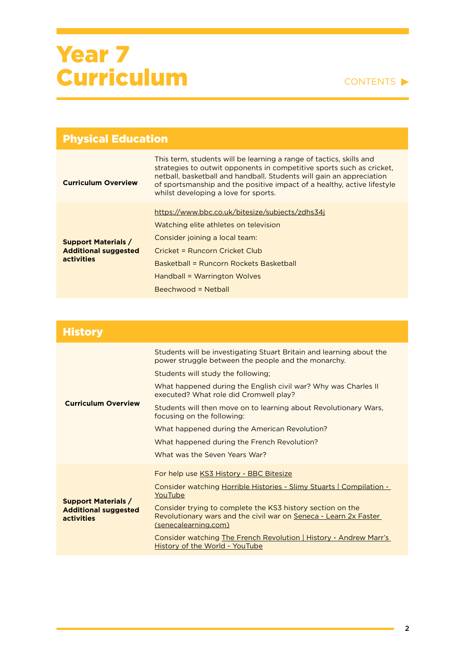| <b>Physical Education</b>                                               |                                                                                                                                                                                                                                                                                                                                         |
|-------------------------------------------------------------------------|-----------------------------------------------------------------------------------------------------------------------------------------------------------------------------------------------------------------------------------------------------------------------------------------------------------------------------------------|
| <b>Curriculum Overview</b>                                              | This term, students will be learning a range of tactics, skills and<br>strategies to outwit opponents in competitive sports such as cricket.<br>netball, basketball and handball. Students will gain an appreciation<br>of sportsmanship and the positive impact of a healthy, active lifestyle<br>whilst developing a love for sports. |
| <b>Support Materials /</b><br><b>Additional suggested</b><br>activities | https://www.bbc.co.uk/bitesize/subjects/zdhs34j<br>Watching elite athletes on television<br>Consider joining a local team:<br>Cricket = Runcorn Cricket Club<br>Basketball = Runcorn Rockets Basketball<br>Handball = Warrington Wolves<br>$Beechwood = Netball$                                                                        |

| <b>History</b>                                                          |                                                                                                                                                        |
|-------------------------------------------------------------------------|--------------------------------------------------------------------------------------------------------------------------------------------------------|
|                                                                         | Students will be investigating Stuart Britain and learning about the<br>power struggle between the people and the monarchy.                            |
|                                                                         | Students will study the following;                                                                                                                     |
|                                                                         | What happened during the English civil war? Why was Charles II<br>executed? What role did Cromwell play?                                               |
| <b>Curriculum Overview</b>                                              | Students will then move on to learning about Revolutionary Wars,<br>focusing on the following:                                                         |
|                                                                         | What happened during the American Revolution?                                                                                                          |
|                                                                         | What happened during the French Revolution?                                                                                                            |
|                                                                         | What was the Seven Years War?                                                                                                                          |
| <b>Support Materials /</b><br><b>Additional suggested</b><br>activities | For help use KS3 History - BBC Bitesize                                                                                                                |
|                                                                         | <b>Consider watching Horrible Histories - Slimy Stuarts   Compilation -</b><br>YouTube                                                                 |
|                                                                         | Consider trying to complete the KS3 history section on the<br>Revolutionary wars and the civil war on Seneca - Learn 2x Faster<br>(senecalearning.com) |
|                                                                         | Consider watching The French Revolution   History - Andrew Marr's<br>History of the World - YouTube                                                    |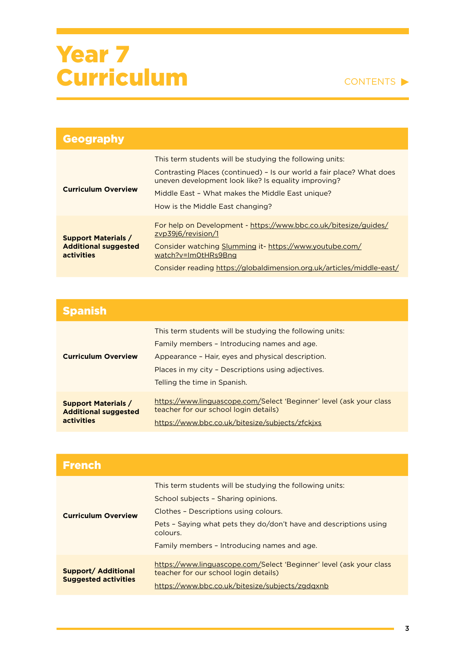

| <b>Geography</b>                                                        |                                                                                                                                                                                                                                                                                   |
|-------------------------------------------------------------------------|-----------------------------------------------------------------------------------------------------------------------------------------------------------------------------------------------------------------------------------------------------------------------------------|
| <b>Curriculum Overview</b>                                              | This term students will be studying the following units:<br>Contrasting Places (continued) - Is our world a fair place? What does<br>uneven development look like? Is equality improving?<br>Middle East - What makes the Middle East unique?<br>How is the Middle East changing? |
| <b>Support Materials /</b><br><b>Additional suggested</b><br>activities | For help on Development - https://www.bbc.co.uk/bitesize/guides/<br>zyp39i6/revision/1<br>Consider watching Slumming it- https://www.youtube.com/<br>watch?v=Im0tHRs9Bng<br>Consider reading https://globaldimension.org.uk/articles/middle-east/                                 |

| <b>Spanish</b>                                                          |                                                                                                                                                                                                                                                    |
|-------------------------------------------------------------------------|----------------------------------------------------------------------------------------------------------------------------------------------------------------------------------------------------------------------------------------------------|
| <b>Curriculum Overview</b>                                              | This term students will be studying the following units:<br>Family members - Introducing names and age.<br>Appearance - Hair, eyes and physical description.<br>Places in my city - Descriptions using adjectives.<br>Telling the time in Spanish. |
| <b>Support Materials /</b><br><b>Additional suggested</b><br>activities | https://www.linguascope.com/Select 'Beginner' level (ask your class<br>teacher for our school login details)<br>https://www.bbc.co.uk/bitesize/subjects/zfckixs                                                                                    |

| <b>French</b>                                             |                                                                                                                                                                                                                                                                          |
|-----------------------------------------------------------|--------------------------------------------------------------------------------------------------------------------------------------------------------------------------------------------------------------------------------------------------------------------------|
| <b>Curriculum Overview</b>                                | This term students will be studying the following units:<br>School subjects - Sharing opinions.<br>Clothes - Descriptions using colours.<br>Pets - Saying what pets they do/don't have and descriptions using<br>colours.<br>Family members - Introducing names and age. |
| <b>Support/ Additional</b><br><b>Suggested activities</b> | https://www.linguascope.com/Select 'Beginner' level (ask your class<br>teacher for our school login details)<br>https://www.bbc.co.uk/bitesize/subjects/zgdgxnb                                                                                                          |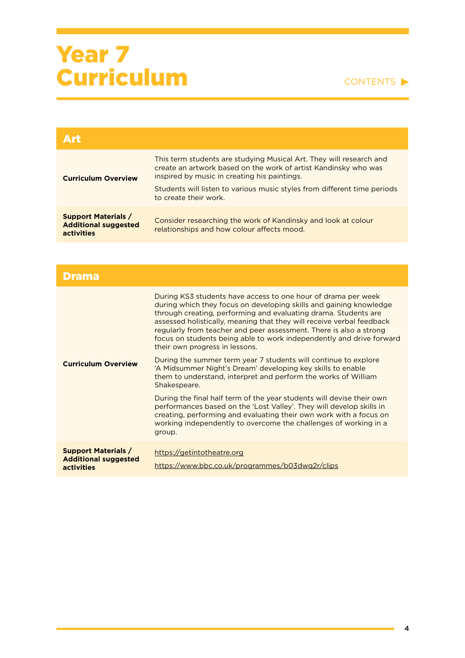| Art                                                                     |                                                                                                                                                                                                                                                                                             |
|-------------------------------------------------------------------------|---------------------------------------------------------------------------------------------------------------------------------------------------------------------------------------------------------------------------------------------------------------------------------------------|
| <b>Curriculum Overview</b>                                              | This term students are studying Musical Art. They will research and<br>create an artwork based on the work of artist Kandinsky who was<br>inspired by music in creating his paintings.<br>Students will listen to various music styles from different time periods<br>to create their work. |
| <b>Support Materials /</b><br><b>Additional suggested</b><br>activities | Consider researching the work of Kandinsky and look at colour<br>relationships and how colour affects mood.                                                                                                                                                                                 |

| Drama                                                                   |                                                                                                                                                                                                                                                                                                                                                                                                                                                                 |
|-------------------------------------------------------------------------|-----------------------------------------------------------------------------------------------------------------------------------------------------------------------------------------------------------------------------------------------------------------------------------------------------------------------------------------------------------------------------------------------------------------------------------------------------------------|
| <b>Curriculum Overview</b>                                              | During KS3 students have access to one hour of drama per week<br>during which they focus on developing skills and gaining knowledge<br>through creating, performing and evaluating drama. Students are<br>assessed holistically, meaning that they will receive verbal feedback<br>regularly from teacher and peer assessment. There is also a strong<br>focus on students being able to work independently and drive forward<br>their own progress in lessons. |
|                                                                         | During the summer term year 7 students will continue to explore<br>'A Midsummer Night's Dream' developing key skills to enable<br>them to understand, interpret and perform the works of William<br>Shakespeare.                                                                                                                                                                                                                                                |
|                                                                         | During the final half term of the year students will devise their own<br>performances based on the 'Lost Valley'. They will develop skills in<br>creating, performing and evaluating their own work with a focus on<br>working independently to overcome the challenges of working in a<br>group.                                                                                                                                                               |
| <b>Support Materials /</b><br><b>Additional suggested</b><br>activities | https://getintotheatre.org<br>https://www.bbc.co.uk/programmes/b03dwq2r/clips                                                                                                                                                                                                                                                                                                                                                                                   |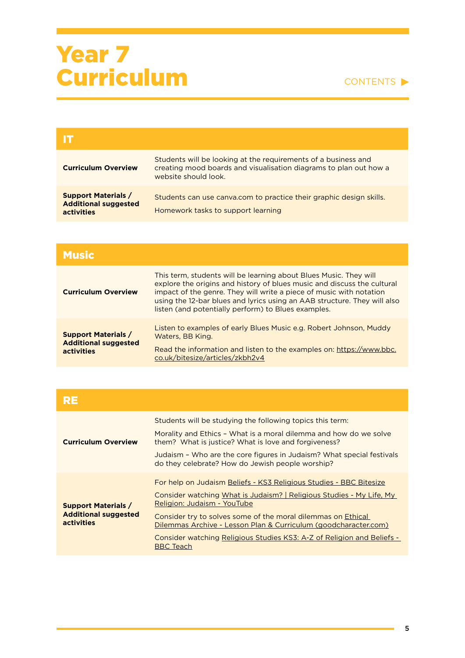| <b>Curriculum Overview</b>                                                     | Students will be looking at the requirements of a business and<br>creating mood boards and visualisation diagrams to plan out how a<br>website should look. |
|--------------------------------------------------------------------------------|-------------------------------------------------------------------------------------------------------------------------------------------------------------|
| <b>Support Materials /</b><br><b>Additional suggested</b><br><b>activities</b> | Students can use canva.com to practice their graphic design skills.<br>Homework tasks to support learning                                                   |

| <b>Music</b>                                                            |                                                                                                                                                                                                                                                                                                                                                        |
|-------------------------------------------------------------------------|--------------------------------------------------------------------------------------------------------------------------------------------------------------------------------------------------------------------------------------------------------------------------------------------------------------------------------------------------------|
| <b>Curriculum Overview</b>                                              | This term, students will be learning about Blues Music. They will<br>explore the origins and history of blues music and discuss the cultural<br>impact of the genre. They will write a piece of music with notation<br>using the 12-bar blues and lyrics using an AAB structure. They will also<br>listen (and potentially perform) to Blues examples. |
| <b>Support Materials /</b><br><b>Additional suggested</b><br>activities | Listen to examples of early Blues Music e.g. Robert Johnson, Muddy<br>Waters, BB King.<br>Read the information and listen to the examples on: https://www.bbc.<br>co.uk/bitesize/articles/zkbh2v4                                                                                                                                                      |

| RE                                                                      |                                                                                                                                                                                                                                                                                                                                                                                                            |
|-------------------------------------------------------------------------|------------------------------------------------------------------------------------------------------------------------------------------------------------------------------------------------------------------------------------------------------------------------------------------------------------------------------------------------------------------------------------------------------------|
| <b>Curriculum Overview</b>                                              | Students will be studying the following topics this term:<br>Morality and Ethics - What is a moral dilemma and how do we solve<br>them? What is justice? What is love and forgiveness?<br>Judaism - Who are the core figures in Judaism? What special festivals<br>do they celebrate? How do Jewish people worship?                                                                                        |
| <b>Support Materials /</b><br><b>Additional suggested</b><br>activities | For help on Judaism Beliefs - KS3 Religious Studies - BBC Bitesize<br>Consider watching What is Judaism?   Religious Studies - My Life, My<br>Religion: Judaism - YouTube<br>Consider try to solves some of the moral dilemmas on Ethical<br>Dilemmas Archive - Lesson Plan & Curriculum (goodcharacter.com)<br>Consider watching Religious Studies KS3: A-Z of Religion and Beliefs -<br><b>BBC</b> Teach |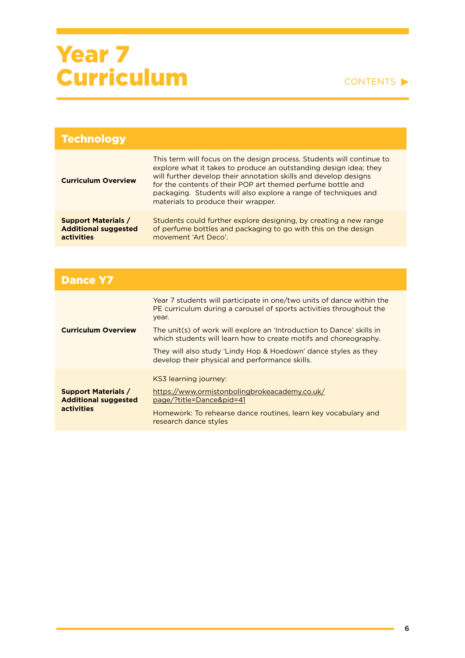| <b>Technology</b>                                                       |                                                                                                                                                                                                                                                                                                                                                                                         |
|-------------------------------------------------------------------------|-----------------------------------------------------------------------------------------------------------------------------------------------------------------------------------------------------------------------------------------------------------------------------------------------------------------------------------------------------------------------------------------|
| <b>Curriculum Overview</b>                                              | This term will focus on the design process. Students will continue to<br>explore what it takes to produce an outstanding design idea; they<br>will further develop their annotation skills and develop designs<br>for the contents of their POP art themed perfume bottle and<br>packaging. Students will also explore a range of techniques and<br>materials to produce their wrapper. |
| <b>Support Materials /</b><br><b>Additional suggested</b><br>activities | Students could further explore designing, by creating a new range<br>of perfume bottles and packaging to go with this on the design<br>movement 'Art Deco'.                                                                                                                                                                                                                             |

| <b>Dance Y7</b>                                                         |                                                                                                                                                       |
|-------------------------------------------------------------------------|-------------------------------------------------------------------------------------------------------------------------------------------------------|
| <b>Curriculum Overview</b>                                              | Year 7 students will participate in one/two units of dance within the<br>PE curriculum during a carousel of sports activities throughout the<br>year. |
|                                                                         | The unit(s) of work will explore an 'Introduction to Dance' skills in<br>which students will learn how to create motifs and choreography.             |
|                                                                         | They will also study 'Lindy Hop & Hoedown' dance styles as they<br>develop their physical and performance skills.                                     |
|                                                                         | KS3 learning journey:                                                                                                                                 |
| <b>Support Materials /</b><br><b>Additional suggested</b><br>activities | https://www.ormistonbolingbrokeacademy.co.uk/<br>page/?title=Dance&pid=41                                                                             |
|                                                                         | Homework: To rehearse dance routines, learn key vocabulary and<br>research dance styles                                                               |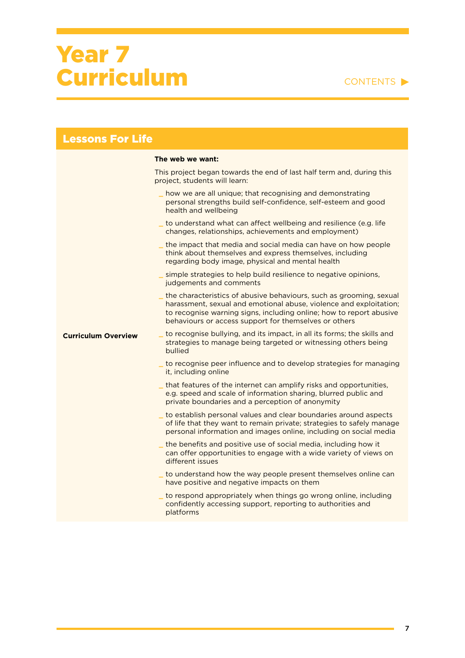| <b>Lessons For Life</b>    |                                                                                                                                                                                                                                                                             |  |
|----------------------------|-----------------------------------------------------------------------------------------------------------------------------------------------------------------------------------------------------------------------------------------------------------------------------|--|
|                            | The web we want:                                                                                                                                                                                                                                                            |  |
|                            | This project began towards the end of last half term and, during this<br>project, students will learn:                                                                                                                                                                      |  |
|                            | how we are all unique; that recognising and demonstrating<br>personal strengths build self-confidence, self-esteem and good<br>health and wellbeing                                                                                                                         |  |
|                            | _ to understand what can affect wellbeing and resilience (e.g. life<br>changes, relationships, achievements and employment)                                                                                                                                                 |  |
|                            | the impact that media and social media can have on how people<br>think about themselves and express themselves, including<br>regarding body image, physical and mental health                                                                                               |  |
|                            | simple strategies to help build resilience to negative opinions,<br>judgements and comments                                                                                                                                                                                 |  |
|                            | _ the characteristics of abusive behaviours, such as grooming, sexual<br>harassment, sexual and emotional abuse, violence and exploitation;<br>to recognise warning signs, including online; how to report abusive<br>behaviours or access support for themselves or others |  |
| <b>Curriculum Overview</b> | to recognise bullying, and its impact, in all its forms; the skills and<br>strategies to manage being targeted or witnessing others being<br>bullied                                                                                                                        |  |
|                            | _ to recognise peer influence and to develop strategies for managing<br>it, including online                                                                                                                                                                                |  |
|                            | _ that features of the internet can amplify risks and opportunities,<br>e.g. speed and scale of information sharing, blurred public and<br>private boundaries and a perception of anonymity                                                                                 |  |
|                            | _ to establish personal values and clear boundaries around aspects<br>of life that they want to remain private; strategies to safely manage<br>personal information and images online, including on social media                                                            |  |
|                            | the benefits and positive use of social media, including how it<br>can offer opportunities to engage with a wide variety of views on<br>different issues                                                                                                                    |  |
|                            | to understand how the way people present themselves online can<br>have positive and negative impacts on them                                                                                                                                                                |  |
|                            | to respond appropriately when things go wrong online, including<br>confidently accessing support, reporting to authorities and<br>platforms                                                                                                                                 |  |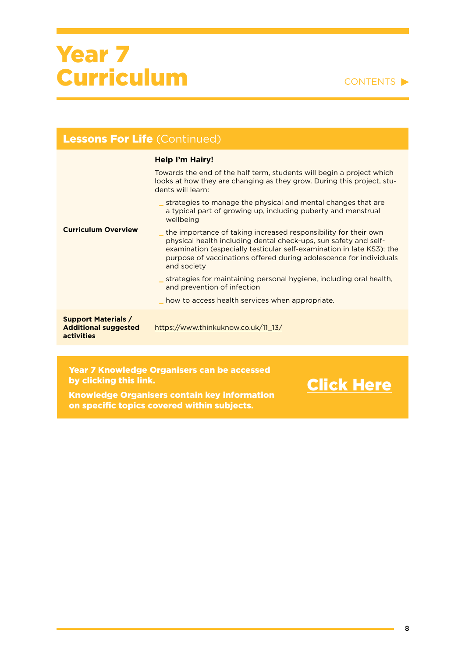#### CONTENTS

| <b>Lessons For Life (Continued)</b>                                            |                                                                                                                                                                                                                                                                                                   |
|--------------------------------------------------------------------------------|---------------------------------------------------------------------------------------------------------------------------------------------------------------------------------------------------------------------------------------------------------------------------------------------------|
|                                                                                | <b>Help I'm Hairy!</b>                                                                                                                                                                                                                                                                            |
| <b>Curriculum Overview</b>                                                     | Towards the end of the half term, students will begin a project which<br>looks at how they are changing as they grow. During this project, stu-<br>dents will learn:                                                                                                                              |
|                                                                                | strategies to manage the physical and mental changes that are<br>a typical part of growing up, including puberty and menstrual<br>wellbeing                                                                                                                                                       |
|                                                                                | the importance of taking increased responsibility for their own<br>physical health including dental check-ups, sun safety and self-<br>examination (especially testicular self-examination in late KS3); the<br>purpose of vaccinations offered during adolescence for individuals<br>and society |
|                                                                                | strategies for maintaining personal hygiene, including oral health,<br>and prevention of infection                                                                                                                                                                                                |
|                                                                                | how to access health services when appropriate.                                                                                                                                                                                                                                                   |
| <b>Support Materials /</b><br><b>Additional suggested</b><br><b>activities</b> | https://www.thinkuknow.co.uk/11 13/                                                                                                                                                                                                                                                               |
|                                                                                |                                                                                                                                                                                                                                                                                                   |

#### Year 7 Knowledge Organisers can be accessed by clicking this link.

Knowledge Organisers contain key information on specific topics covered within subjects.

[Click Here](https://ormistonruncorn-my.sharepoint.com/:f:/g/personal/l_jones_ob-ac_co_uk/EurfI8YxsfZIh09YWpya2N4Bor0SS567hA6CkRuiSzYUGg?e=QC1Wxq)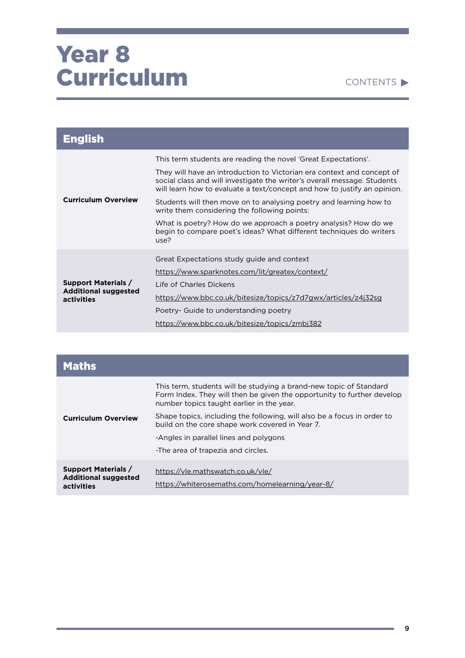

| <b>English</b>                                                          |                                                                                                                                                                                                                                |
|-------------------------------------------------------------------------|--------------------------------------------------------------------------------------------------------------------------------------------------------------------------------------------------------------------------------|
| <b>Curriculum Overview</b>                                              | This term students are reading the novel 'Great Expectations'.                                                                                                                                                                 |
|                                                                         | They will have an introduction to Victorian era context and concept of<br>social class and will investigate the writer's overall message. Students<br>will learn how to evaluate a text/concept and how to justify an opinion. |
|                                                                         | Students will then move on to analysing poetry and learning how to<br>write them considering the following points:                                                                                                             |
|                                                                         | What is poetry? How do we approach a poetry analysis? How do we<br>begin to compare poet's ideas? What different techniques do writers<br>use?                                                                                 |
|                                                                         | Great Expectations study guide and context                                                                                                                                                                                     |
|                                                                         | https://www.sparknotes.com/lit/greatex/context/                                                                                                                                                                                |
| <b>Support Materials /</b><br><b>Additional suggested</b><br>activities | Life of Charles Dickens                                                                                                                                                                                                        |
|                                                                         | https://www.bbc.co.uk/bitesize/topics/z7d7gwx/articles/z4j32sg                                                                                                                                                                 |
|                                                                         | Poetry- Guide to understanding poetry                                                                                                                                                                                          |
|                                                                         | https://www.bbc.co.uk/bitesize/topics/zmbj382                                                                                                                                                                                  |

| <b>Maths</b>                                                            |                                                                                                                                                                                           |
|-------------------------------------------------------------------------|-------------------------------------------------------------------------------------------------------------------------------------------------------------------------------------------|
| <b>Curriculum Overview</b>                                              | This term, students will be studying a brand-new topic of Standard<br>Form Index. They will then be given the opportunity to further develop<br>number topics taught earlier in the year. |
|                                                                         | Shape topics, including the following, will also be a focus in order to<br>build on the core shape work covered in Year 7.                                                                |
|                                                                         | -Angles in parallel lines and polygons                                                                                                                                                    |
|                                                                         | -The area of trapezia and circles.                                                                                                                                                        |
| <b>Support Materials /</b><br><b>Additional suggested</b><br>activities | https://vle.mathswatch.co.uk/vle/<br>https://whiterosemaths.com/homelearning/year-8/                                                                                                      |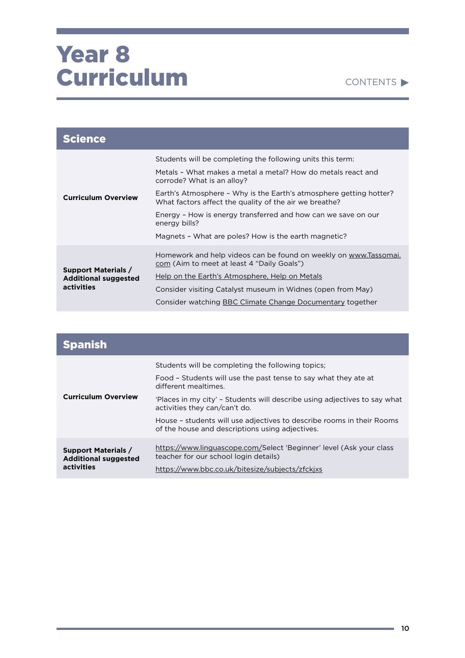

| <b>Science</b>                                                          |                                                                                                                              |
|-------------------------------------------------------------------------|------------------------------------------------------------------------------------------------------------------------------|
|                                                                         | Students will be completing the following units this term:                                                                   |
| <b>Curriculum Overview</b>                                              | Metals - What makes a metal a metal? How do metals react and<br>corrode? What is an alloy?                                   |
|                                                                         | Earth's Atmosphere - Why is the Earth's atmosphere getting hotter?<br>What factors affect the quality of the air we breathe? |
|                                                                         | Energy - How is energy transferred and how can we save on our<br>energy bills?                                               |
|                                                                         | Magnets - What are poles? How is the earth magnetic?                                                                         |
| <b>Support Materials /</b><br><b>Additional suggested</b><br>activities | Homework and help videos can be found on weekly on www.Tassomai.<br>com (Aim to meet at least 4 "Daily Goals")               |
|                                                                         | <u>Help on the Earth's Atmosphere, Help on Metals</u>                                                                        |
|                                                                         | Consider visiting Catalyst museum in Widnes (open from May)                                                                  |
|                                                                         | Consider watching BBC Climate Change Documentary together                                                                    |

| <b>Spanish</b>                                                          |                                                                                                                          |
|-------------------------------------------------------------------------|--------------------------------------------------------------------------------------------------------------------------|
| <b>Curriculum Overview</b>                                              | Students will be completing the following topics;                                                                        |
|                                                                         | Food - Students will use the past tense to say what they ate at<br>different mealtimes.                                  |
|                                                                         | 'Places in my city' - Students will describe using adjectives to say what<br>activities they can/can't do.               |
|                                                                         | House - students will use adjectives to describe rooms in their Rooms<br>of the house and descriptions using adjectives. |
| <b>Support Materials /</b><br><b>Additional suggested</b><br>activities | https://www.linguascope.com/Select 'Beginner' level (Ask your class<br>teacher for our school login details)             |
|                                                                         | https://www.bbc.co.uk/bitesize/subjects/zfckixs                                                                          |

٠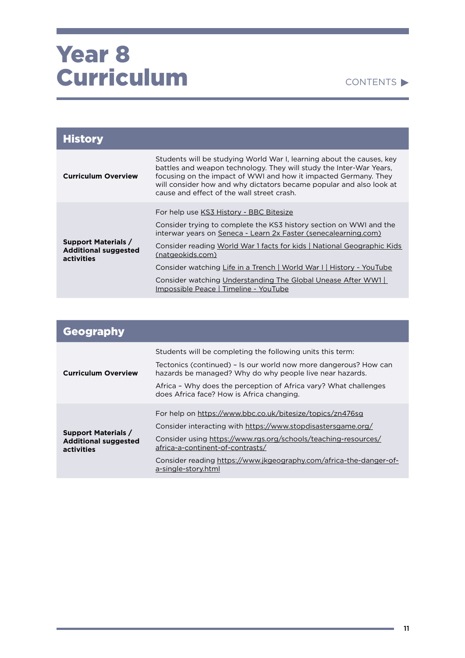| <b>History</b>                                                          |                                                                                                                                                                                                                                                                                                                                      |
|-------------------------------------------------------------------------|--------------------------------------------------------------------------------------------------------------------------------------------------------------------------------------------------------------------------------------------------------------------------------------------------------------------------------------|
| <b>Curriculum Overview</b>                                              | Students will be studying World War I, learning about the causes, key<br>battles and weapon technology. They will study the Inter-War Years,<br>focusing on the impact of WWI and how it impacted Germany. They<br>will consider how and why dictators became popular and also look at<br>cause and effect of the wall street crash. |
| <b>Support Materials /</b><br><b>Additional suggested</b><br>activities | For help use KS3 History - BBC Bitesize                                                                                                                                                                                                                                                                                              |
|                                                                         | Consider trying to complete the KS3 history section on WWI and the<br>interwar years on Seneca - Learn 2x Faster (senecalearning.com)                                                                                                                                                                                                |
|                                                                         | Consider reading World War 1 facts for kids   National Geographic Kids<br>(natgeokids.com)                                                                                                                                                                                                                                           |
|                                                                         | Consider watching Life in a Trench   World War I   History - YouTube                                                                                                                                                                                                                                                                 |
|                                                                         | Consider watching Understanding The Global Unease After WW1<br>Impossible Peace   Timeline - YouTube                                                                                                                                                                                                                                 |

| Geography                                                               |                                                                                                                                                                                                                                                                                                                              |
|-------------------------------------------------------------------------|------------------------------------------------------------------------------------------------------------------------------------------------------------------------------------------------------------------------------------------------------------------------------------------------------------------------------|
| <b>Curriculum Overview</b>                                              | Students will be completing the following units this term:<br>Tectonics (continued) – Is our world now more dangerous? How can<br>hazards be managed? Why do why people live near hazards.<br>Africa - Why does the perception of Africa vary? What challenges                                                               |
|                                                                         | does Africa face? How is Africa changing.                                                                                                                                                                                                                                                                                    |
| <b>Support Materials /</b><br><b>Additional suggested</b><br>activities | For help on https://www.bbc.co.uk/bitesize/topics/zn476sg<br>Consider interacting with https://www.stopdisastersgame.org/<br>Consider using https://www.rgs.org/schools/teaching-resources/<br>africa-a-continent-of-contrasts/<br>Consider reading https://www.jkgeography.com/africa-the-danger-of-<br>a-single-story.html |

and the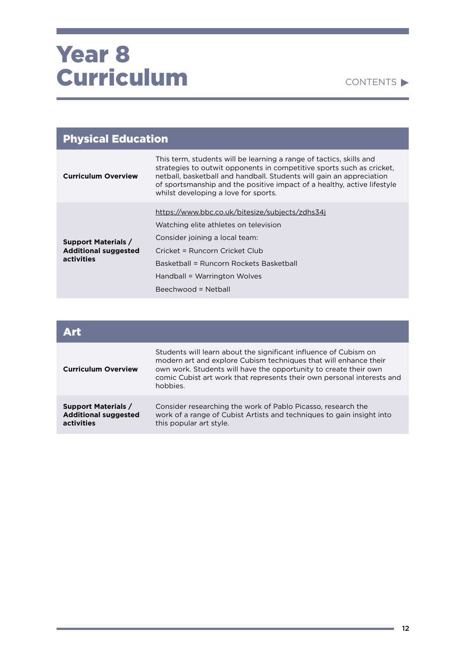#### CONTENTS

| <b>Physical Education</b>                                               |                                                                                                                                                                                                                                                                                                                                         |
|-------------------------------------------------------------------------|-----------------------------------------------------------------------------------------------------------------------------------------------------------------------------------------------------------------------------------------------------------------------------------------------------------------------------------------|
| <b>Curriculum Overview</b>                                              | This term, students will be learning a range of tactics, skills and<br>strategies to outwit opponents in competitive sports such as cricket,<br>netball, basketball and handball. Students will gain an appreciation<br>of sportsmanship and the positive impact of a healthy, active lifestyle<br>whilst developing a love for sports. |
| <b>Support Materials /</b><br><b>Additional suggested</b><br>activities | https://www.bbc.co.uk/bitesize/subjects/zdhs34j<br>Watching elite athletes on television<br>Consider joining a local team:<br>Cricket = Runcorn Cricket Club<br>Basketball = Runcorn Rockets Basketball<br>Handball = Warrington Wolves                                                                                                 |
|                                                                         | Beechwood = Netball                                                                                                                                                                                                                                                                                                                     |

| Art                                                                     |                                                                                                                                                                                                                                                                                                |
|-------------------------------------------------------------------------|------------------------------------------------------------------------------------------------------------------------------------------------------------------------------------------------------------------------------------------------------------------------------------------------|
| <b>Curriculum Overview</b>                                              | Students will learn about the significant influence of Cubism on<br>modern art and explore Cubism techniques that will enhance their<br>own work. Students will have the opportunity to create their own<br>comic Cubist art work that represents their own personal interests and<br>hobbies. |
| <b>Support Materials /</b><br><b>Additional suggested</b><br>activities | Consider researching the work of Pablo Picasso, research the<br>work of a range of Cubist Artists and techniques to gain insight into<br>this popular art style.                                                                                                                               |

**State State**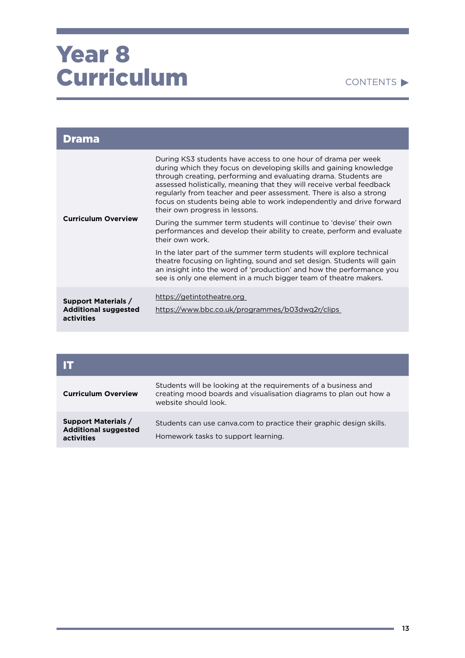| Drama                                                                   |                                                                                                                                                                                                                                                                                                                                                                                                                                                                 |
|-------------------------------------------------------------------------|-----------------------------------------------------------------------------------------------------------------------------------------------------------------------------------------------------------------------------------------------------------------------------------------------------------------------------------------------------------------------------------------------------------------------------------------------------------------|
| <b>Curriculum Overview</b>                                              | During KS3 students have access to one hour of drama per week<br>during which they focus on developing skills and gaining knowledge<br>through creating, performing and evaluating drama. Students are<br>assessed holistically, meaning that they will receive verbal feedback<br>regularly from teacher and peer assessment. There is also a strong<br>focus on students being able to work independently and drive forward<br>their own progress in lessons. |
|                                                                         | During the summer term students will continue to 'devise' their own<br>performances and develop their ability to create, perform and evaluate<br>their own work.                                                                                                                                                                                                                                                                                                |
|                                                                         | In the later part of the summer term students will explore technical<br>theatre focusing on lighting, sound and set design. Students will gain<br>an insight into the word of 'production' and how the performance you<br>see is only one element in a much bigger team of theatre makers.                                                                                                                                                                      |
| <b>Support Materials /</b><br><b>Additional suggested</b><br>activities | https://getintotheatre.org<br>https://www.bbc.co.uk/programmes/b03dwq2r/clips                                                                                                                                                                                                                                                                                                                                                                                   |

| <b>Curriculum Overview</b>                                              | Students will be looking at the requirements of a business and<br>creating mood boards and visualisation diagrams to plan out how a<br>website should look. |
|-------------------------------------------------------------------------|-------------------------------------------------------------------------------------------------------------------------------------------------------------|
| <b>Support Materials /</b><br><b>Additional suggested</b><br>activities | Students can use canva.com to practice their graphic design skills.<br>Homework tasks to support learning.                                                  |

and the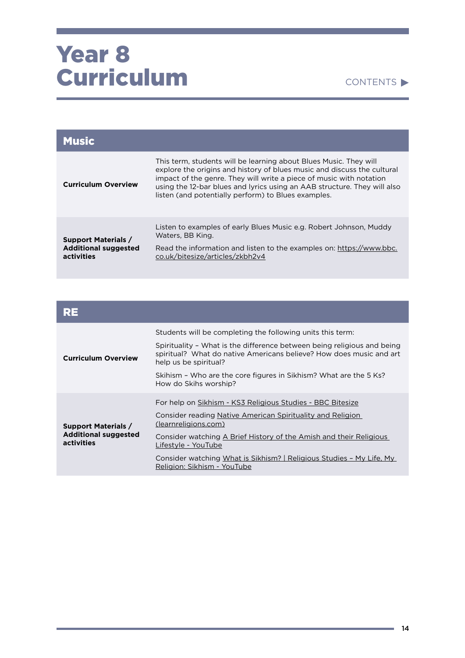#### CONTENTS

| <b>Music</b>                                                            |                                                                                                                                                                                                                                                                                                                                                        |
|-------------------------------------------------------------------------|--------------------------------------------------------------------------------------------------------------------------------------------------------------------------------------------------------------------------------------------------------------------------------------------------------------------------------------------------------|
| <b>Curriculum Overview</b>                                              | This term, students will be learning about Blues Music. They will<br>explore the origins and history of blues music and discuss the cultural<br>impact of the genre. They will write a piece of music with notation<br>using the 12-bar blues and lyrics using an AAB structure. They will also<br>listen (and potentially perform) to Blues examples. |
| <b>Support Materials /</b><br><b>Additional suggested</b><br>activities | Listen to examples of early Blues Music e.g. Robert Johnson, Muddy<br>Waters, BB King.<br>Read the information and listen to the examples on: https://www.bbc.<br>co.uk/bitesize/articles/zkbh2v4                                                                                                                                                      |
|                                                                         |                                                                                                                                                                                                                                                                                                                                                        |

| RE                                                                      |                                                                                                                                                                                                                                               |
|-------------------------------------------------------------------------|-----------------------------------------------------------------------------------------------------------------------------------------------------------------------------------------------------------------------------------------------|
| <b>Curriculum Overview</b>                                              | Students will be completing the following units this term:<br>Spirituality - What is the difference between being religious and being<br>spiritual? What do native Americans believe? How does music and art<br>help us be spiritual?         |
|                                                                         | Skihism - Who are the core figures in Sikhism? What are the 5 Ks?<br>How do Skihs worship?                                                                                                                                                    |
| <b>Support Materials /</b><br><b>Additional suggested</b><br>activities | For help on Sikhism - KS3 Religious Studies - BBC Bitesize<br>Consider reading Native American Spirituality and Religion<br>(learnreligions.com)<br>Consider watching A Brief History of the Amish and their Religious<br>Lifestyle - YouTube |
|                                                                         | Consider watching What is Sikhism?   Religious Studies - My Life, My<br>Religion: Sikhism - YouTube                                                                                                                                           |

٠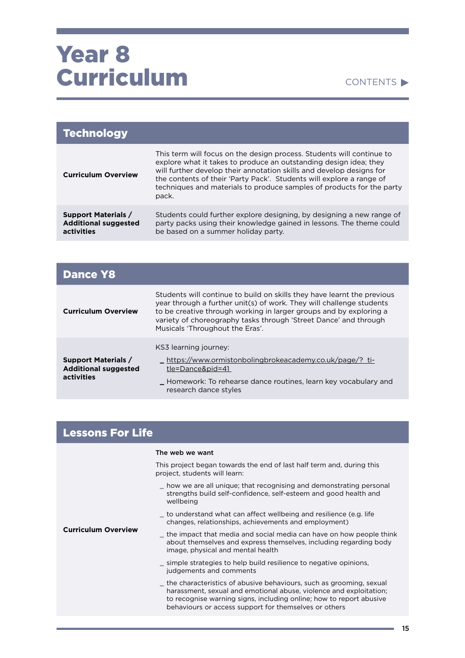### Year<sub>8</sub> Curriculum

#### CONTENTS  $\blacktriangleright$

| <b>Technology</b>                                                       |                                                                                                                                                                                                                                                                                                                                                                              |
|-------------------------------------------------------------------------|------------------------------------------------------------------------------------------------------------------------------------------------------------------------------------------------------------------------------------------------------------------------------------------------------------------------------------------------------------------------------|
| <b>Curriculum Overview</b>                                              | This term will focus on the design process. Students will continue to<br>explore what it takes to produce an outstanding design idea; they<br>will further develop their annotation skills and develop designs for<br>the contents of their 'Party Pack'. Students will explore a range of<br>techniques and materials to produce samples of products for the party<br>pack. |
| <b>Support Materials /</b><br><b>Additional suggested</b><br>activities | Students could further explore designing, by designing a new range of<br>party packs using their knowledge gained in lessons. The theme could<br>be based on a summer holiday party.                                                                                                                                                                                         |

| <b>Dance Y8</b>                                                         |                                                                                                                                                                                                                                                                                                                              |
|-------------------------------------------------------------------------|------------------------------------------------------------------------------------------------------------------------------------------------------------------------------------------------------------------------------------------------------------------------------------------------------------------------------|
| <b>Curriculum Overview</b>                                              | Students will continue to build on skills they have learnt the previous<br>year through a further unit(s) of work. They will challenge students<br>to be creative through working in larger groups and by exploring a<br>variety of choreography tasks through 'Street Dance' and through<br>Musicals 'Throughout the Eras'. |
| <b>Support Materials /</b><br><b>Additional suggested</b><br>activities | KS3 learning journey:<br><u>_https://www.ormistonbolingbrokeacademy.co.uk/page/?_ti-</u><br>tle=Dance&pid=41<br>Homework: To rehearse dance routines, learn key vocabulary and<br>research dance styles                                                                                                                      |

#### Lessons For Life

**Curriculum Overview** 

| The web we want |                            |
|-----------------|----------------------------|
|                 | This project began towards |

the end of last half term and, during this project, students will learn:

- \_ how we are all unique; that recognising and demonstrating personal strengths build self-confidence, self-esteem and good health and wellbeing
- \_ to understand what can affect wellbeing and resilience (e.g. life changes, relationships, achievements and employment)

\_ the impact that media and social media can have on how people think about themselves and express themselves, including regarding body image, physical and mental health

\_ simple strategies to help build resilience to negative opinions, judgements and comments

the characteristics of abusive behaviours, such as grooming, sexual harassment, sexual and emotional abuse, violence and exploitation; to recognise warning signs, including online; how to report abusive behaviours or access support for themselves or others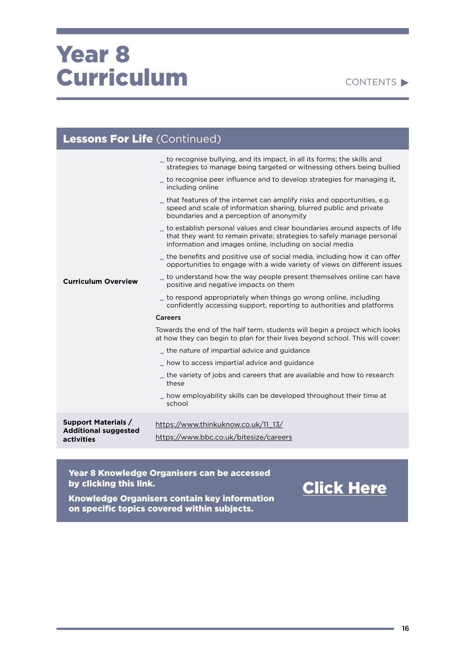#### CONTENTS<sup>></sup>

| <b>Lessons For Life</b> (Continued)                       |                                                                                                                                                                                                                                                                                                                                                                                                                                                                                                                                                                                                                                                                                                                                                                                                                                                                                                                                                                                                                                                                                                                                                                                                                                                                                                                                                                                                                                                                                                                                              |  |
|-----------------------------------------------------------|----------------------------------------------------------------------------------------------------------------------------------------------------------------------------------------------------------------------------------------------------------------------------------------------------------------------------------------------------------------------------------------------------------------------------------------------------------------------------------------------------------------------------------------------------------------------------------------------------------------------------------------------------------------------------------------------------------------------------------------------------------------------------------------------------------------------------------------------------------------------------------------------------------------------------------------------------------------------------------------------------------------------------------------------------------------------------------------------------------------------------------------------------------------------------------------------------------------------------------------------------------------------------------------------------------------------------------------------------------------------------------------------------------------------------------------------------------------------------------------------------------------------------------------------|--|
| <b>Curriculum Overview</b>                                | to recognise bullying, and its impact, in all its forms; the skills and<br>strategies to manage being targeted or witnessing others being bullied<br>to recognise peer influence and to develop strategies for managing it,<br>including online<br>that features of the internet can amplify risks and opportunities, e.g.<br>speed and scale of information sharing, blurred public and private<br>boundaries and a perception of anonymity<br>_ to establish personal values and clear boundaries around aspects of life<br>that they want to remain private; strategies to safely manage personal<br>information and images online, including on social media<br>$\_$ the benefits and positive use of social media, including how it can offer<br>opportunities to engage with a wide variety of views on different issues<br>to understand how the way people present themselves online can have<br>positive and negative impacts on them<br>_ to respond appropriately when things go wrong online, including<br>confidently accessing support, reporting to authorities and platforms<br><b>Careers</b><br>Towards the end of the half term, students will begin a project which looks<br>at how they can begin to plan for their lives beyond school. This will cover:<br>the nature of impartial advice and guidance<br>_ how to access impartial advice and guidance<br>$\_$ the variety of jobs and careers that are available and how to research<br>these<br>how employability skills can be developed throughout their time at |  |
| <b>Support Materials /</b><br><b>Additional suggested</b> | school<br>https://www.thinkuknow.co.uk/11 13/                                                                                                                                                                                                                                                                                                                                                                                                                                                                                                                                                                                                                                                                                                                                                                                                                                                                                                                                                                                                                                                                                                                                                                                                                                                                                                                                                                                                                                                                                                |  |
| activities                                                | https://www.bbc.co.uk/bitesize/careers                                                                                                                                                                                                                                                                                                                                                                                                                                                                                                                                                                                                                                                                                                                                                                                                                                                                                                                                                                                                                                                                                                                                                                                                                                                                                                                                                                                                                                                                                                       |  |

Year 8 Knowledge Organisers can be accessed by clicking this link.

### [Click Here](https://ormistonruncorn-my.sharepoint.com/:f:/g/personal/l_jones_ob-ac_co_uk/EujN_OcWtnpGqj7wgqKCzfYB9LYFlCyeC5dzyABWBpWOtw?e=hTgEMX)

Knowledge Organisers contain key information on specific topics covered within subjects.

and the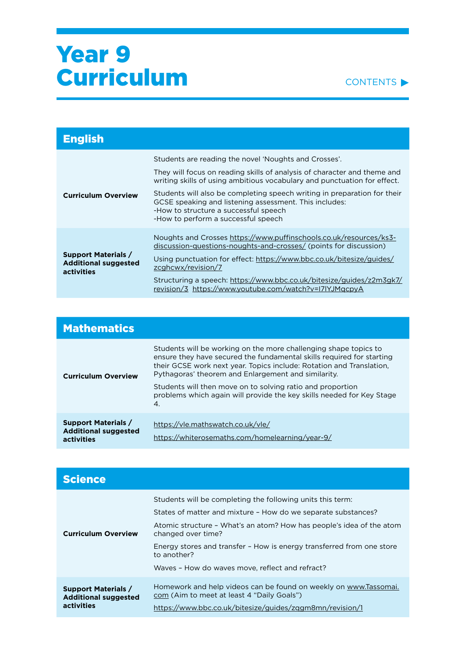

| <b>English</b>                                                                 |                                                                                                                                                                                                                                                                                           |
|--------------------------------------------------------------------------------|-------------------------------------------------------------------------------------------------------------------------------------------------------------------------------------------------------------------------------------------------------------------------------------------|
|                                                                                | Students are reading the novel 'Noughts and Crosses'.<br>They will focus on reading skills of analysis of character and theme and<br>writing skills of using ambitious vocabulary and punctuation for effect.<br>Students will also be completing speech writing in preparation for their |
| <b>Curriculum Overview</b>                                                     | GCSE speaking and listening assessment. This includes:<br>-How to structure a successful speech<br>-How to perform a successful speech                                                                                                                                                    |
| <b>Support Materials /</b><br><b>Additional suggested</b><br><b>activities</b> | Noughts and Crosses https://www.puffinschools.co.uk/resources/ks3-<br>discussion-questions-noughts-and-crosses/ (points for discussion)<br>Using punctuation for effect: https://www.bbc.co.uk/bitesize/guides/<br>zcghcwx/revision/7                                                     |
|                                                                                | Structuring a speech: https://www.bbc.co.uk/bitesize/guides/z2m3gk7/<br>revision/3 https://www.youtube.com/watch?v=I7IYJMqcpyA                                                                                                                                                            |

| <b>Mathematics</b>                                                      |                                                                                                                                                                                                                                                                                                                                                                                                                       |
|-------------------------------------------------------------------------|-----------------------------------------------------------------------------------------------------------------------------------------------------------------------------------------------------------------------------------------------------------------------------------------------------------------------------------------------------------------------------------------------------------------------|
| <b>Curriculum Overview</b>                                              | Students will be working on the more challenging shape topics to<br>ensure they have secured the fundamental skills required for starting<br>their GCSE work next year. Topics include: Rotation and Translation.<br>Pythagoras' theorem and Enlargement and similarity.<br>Students will then move on to solving ratio and proportion<br>problems which again will provide the key skills needed for Key Stage<br>4. |
| <b>Support Materials /</b><br><b>Additional suggested</b><br>activities | https://vle.mathswatch.co.uk/vle/<br>https://whiterosemaths.com/homelearning/year-9/                                                                                                                                                                                                                                                                                                                                  |

| <b>Science</b>                                                          |                                                                                                                                                                                                                                                                                                                                                                      |
|-------------------------------------------------------------------------|----------------------------------------------------------------------------------------------------------------------------------------------------------------------------------------------------------------------------------------------------------------------------------------------------------------------------------------------------------------------|
| <b>Curriculum Overview</b>                                              | Students will be completing the following units this term:<br>States of matter and mixture - How do we separate substances?<br>Atomic structure - What's an atom? How has people's idea of the atom<br>changed over time?<br>Energy stores and transfer - How is energy transferred from one store<br>to another?<br>Waves - How do waves move, reflect and refract? |
| <b>Support Materials /</b><br><b>Additional suggested</b><br>activities | Homework and help videos can be found on weekly on www.Tassomai.<br>com (Aim to meet at least 4 "Daily Goals")<br>https://www.bbc.co.uk/bitesize/guides/zggm8mn/revision/1                                                                                                                                                                                           |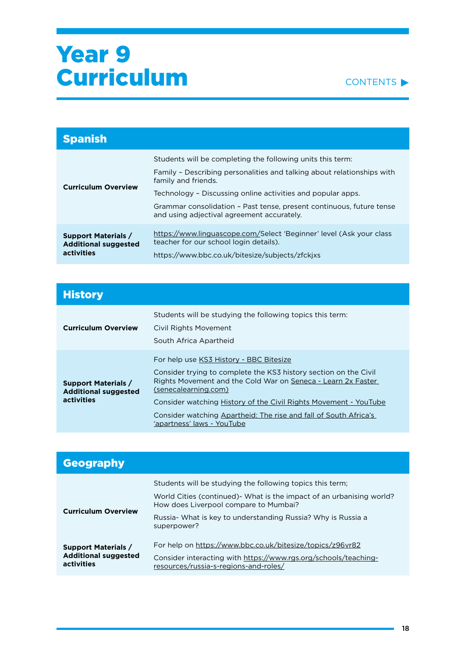

| <b>Spanish</b>                                                          |                                                                                                                                                                                                                                                                                                                                                  |
|-------------------------------------------------------------------------|--------------------------------------------------------------------------------------------------------------------------------------------------------------------------------------------------------------------------------------------------------------------------------------------------------------------------------------------------|
| <b>Curriculum Overview</b>                                              | Students will be completing the following units this term:<br>Family - Describing personalities and talking about relationships with<br>family and friends.<br>Technology - Discussing online activities and popular apps.<br>Grammar consolidation - Past tense, present continuous, future tense<br>and using adjectival agreement accurately. |
| <b>Support Materials /</b><br><b>Additional suggested</b><br>activities | https://www.linguascope.com/Select 'Beginner' level (Ask your class<br>teacher for our school login details).<br>https://www.bbc.co.uk/bitesize/subjects/zfckixs                                                                                                                                                                                 |

| <b>History</b>                                                          |                                                                                                                                                                                                                                                                                                                                                                           |
|-------------------------------------------------------------------------|---------------------------------------------------------------------------------------------------------------------------------------------------------------------------------------------------------------------------------------------------------------------------------------------------------------------------------------------------------------------------|
| <b>Curriculum Overview</b>                                              | Students will be studying the following topics this term:<br>Civil Rights Movement<br>South Africa Apartheid                                                                                                                                                                                                                                                              |
| <b>Support Materials /</b><br><b>Additional suggested</b><br>activities | For help use KS3 History - BBC Bitesize<br>Consider trying to complete the KS3 history section on the Civil<br>Rights Movement and the Cold War on Seneca - Learn 2x Faster<br>(senecalearning.com)<br>Consider watching History of the Civil Rights Movement - YouTube<br>Consider watching Apartheid: The rise and fall of South Africa's<br>'apartness' laws - YouTube |

| <b>Geography</b>                                                        |                                                                                                              |
|-------------------------------------------------------------------------|--------------------------------------------------------------------------------------------------------------|
|                                                                         | Students will be studying the following topics this term;                                                    |
| <b>Curriculum Overview</b>                                              | World Cities (continued) What is the impact of an urbanising world?<br>How does Liverpool compare to Mumbai? |
|                                                                         | Russia- What is key to understanding Russia? Why is Russia a<br>superpower?                                  |
| <b>Support Materials /</b><br><b>Additional suggested</b><br>activities | For help on https://www.bbc.co.uk/bitesize/topics/z96vr82                                                    |
|                                                                         | Consider interacting with https://www.rgs.org/schools/teaching-<br>resources/russia-s-regions-and-roles/     |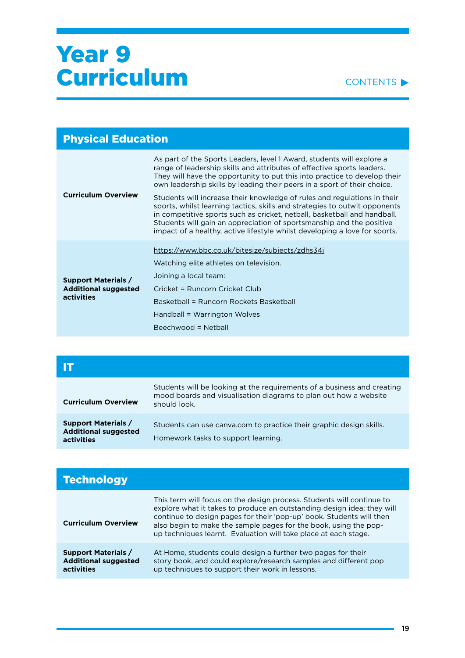

| <b>Physical Education</b>                                               |                                                                                                                                                                                                                                                                                                                                                                                                                                                                                                                                                                                                                                                                                                      |
|-------------------------------------------------------------------------|------------------------------------------------------------------------------------------------------------------------------------------------------------------------------------------------------------------------------------------------------------------------------------------------------------------------------------------------------------------------------------------------------------------------------------------------------------------------------------------------------------------------------------------------------------------------------------------------------------------------------------------------------------------------------------------------------|
| <b>Curriculum Overview</b>                                              | As part of the Sports Leaders, level 1 Award, students will explore a<br>range of leadership skills and attributes of effective sports leaders.<br>They will have the opportunity to put this into practice to develop their<br>own leadership skills by leading their peers in a sport of their choice.<br>Students will increase their knowledge of rules and regulations in their<br>sports, whilst learning tactics, skills and strategies to outwit opponents<br>in competitive sports such as cricket, netball, basketball and handball.<br>Students will gain an appreciation of sportsmanship and the positive<br>impact of a healthy, active lifestyle whilst developing a love for sports. |
|                                                                         |                                                                                                                                                                                                                                                                                                                                                                                                                                                                                                                                                                                                                                                                                                      |
| <b>Support Materials /</b><br><b>Additional suggested</b><br>activities | https://www.bbc.co.uk/bitesize/subjects/zdhs34j<br>Watching elite athletes on television.<br>Joining a local team:<br>Cricket = Runcorn Cricket Club<br>Basketball = Runcorn Rockets Basketball<br>Handball = Warrington Wolves                                                                                                                                                                                                                                                                                                                                                                                                                                                                      |
|                                                                         | Beechwood = Netball                                                                                                                                                                                                                                                                                                                                                                                                                                                                                                                                                                                                                                                                                  |

| <b>Curriculum Overview</b>                                              | Students will be looking at the requirements of a business and creating<br>mood boards and visualisation diagrams to plan out how a website<br>should look. |
|-------------------------------------------------------------------------|-------------------------------------------------------------------------------------------------------------------------------------------------------------|
| <b>Support Materials /</b><br><b>Additional suggested</b><br>activities | Students can use canva.com to practice their graphic design skills.<br>Homework tasks to support learning.                                                  |

| <b>Technology</b>                                                       |                                                                                                                                                                                                                                                                                                                                                                |
|-------------------------------------------------------------------------|----------------------------------------------------------------------------------------------------------------------------------------------------------------------------------------------------------------------------------------------------------------------------------------------------------------------------------------------------------------|
| <b>Curriculum Overview</b>                                              | This term will focus on the design process. Students will continue to<br>explore what it takes to produce an outstanding design idea; they will<br>continue to design pages for their 'pop-up' book. Students will then<br>also begin to make the sample pages for the book, using the pop-<br>up techniques learnt. Evaluation will take place at each stage. |
| <b>Support Materials /</b><br><b>Additional suggested</b><br>activities | At Home, students could design a further two pages for their<br>story book, and could explore/research samples and different pop<br>up techniques to support their work in lessons.                                                                                                                                                                            |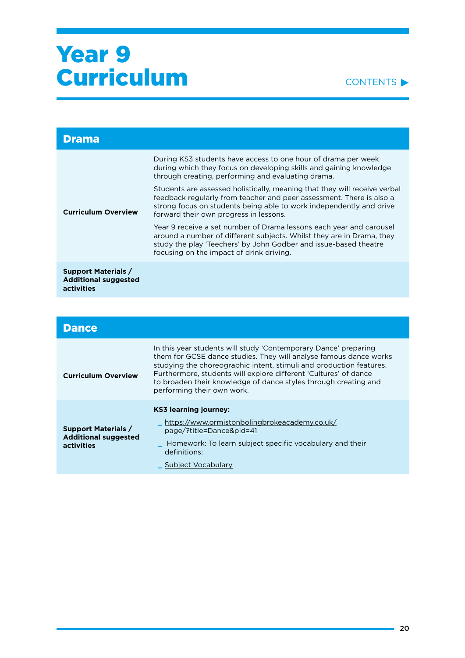

| <b>Drama</b>                                                                   |                                                                                                                                                                                                                                                                    |
|--------------------------------------------------------------------------------|--------------------------------------------------------------------------------------------------------------------------------------------------------------------------------------------------------------------------------------------------------------------|
|                                                                                | During KS3 students have access to one hour of drama per week<br>during which they focus on developing skills and gaining knowledge<br>through creating, performing and evaluating drama.                                                                          |
| <b>Curriculum Overview</b>                                                     | Students are assessed holistically, meaning that they will receive verbal<br>feedback regularly from teacher and peer assessment. There is also a<br>strong focus on students being able to work independently and drive<br>forward their own progress in lessons. |
|                                                                                | Year 9 receive a set number of Drama lessons each year and carousel<br>around a number of different subjects. Whilst they are in Drama, they<br>study the play 'Teechers' by John Godber and issue-based theatre<br>focusing on the impact of drink driving.       |
| <b>Support Materials /</b><br><b>Additional suggested</b><br><b>activities</b> |                                                                                                                                                                                                                                                                    |
|                                                                                |                                                                                                                                                                                                                                                                    |

| <b>Dance</b>                                              |                                                                                                                                                                                                                                                                                                                                                                                  |
|-----------------------------------------------------------|----------------------------------------------------------------------------------------------------------------------------------------------------------------------------------------------------------------------------------------------------------------------------------------------------------------------------------------------------------------------------------|
| <b>Curriculum Overview</b>                                | In this year students will study 'Contemporary Dance' preparing<br>them for GCSE dance studies. They will analyse famous dance works<br>studying the choreographic intent, stimuli and production features.<br>Furthermore, students will explore different 'Cultures' of dance<br>to broaden their knowledge of dance styles through creating and<br>performing their own work. |
| <b>Support Materials /</b><br><b>Additional suggested</b> | <b>KS3 learning journey:</b><br>https://www.ormistonbolingbrokeacademy.co.uk/<br>page/?title=Dance&pid=41                                                                                                                                                                                                                                                                        |
| activities                                                | Homework: To learn subject specific vocabulary and their<br>definitions:<br>Subject Vocabulary                                                                                                                                                                                                                                                                                   |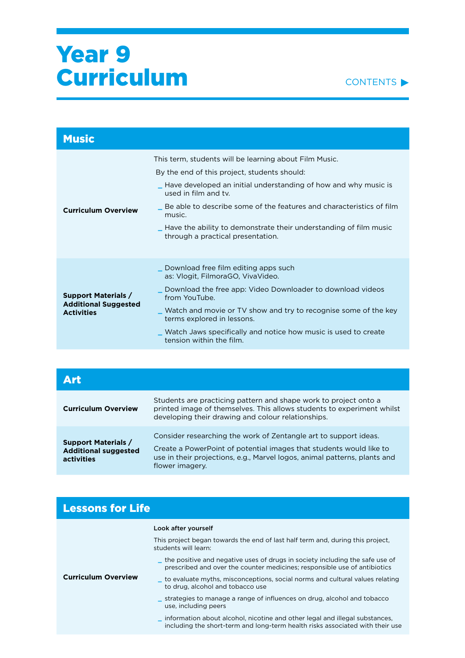

| <b>Music</b>                                                                   |                                                                                                                                                                                                                                                                                                                                                                                                              |
|--------------------------------------------------------------------------------|--------------------------------------------------------------------------------------------------------------------------------------------------------------------------------------------------------------------------------------------------------------------------------------------------------------------------------------------------------------------------------------------------------------|
| <b>Curriculum Overview</b>                                                     | This term, students will be learning about Film Music.<br>By the end of this project, students should:<br>$\_$ Have developed an initial understanding of how and why music is<br>used in film and ty.<br>Be able to describe some of the features and characteristics of film<br>music.<br>$\_$ Have the ability to demonstrate their understanding of film music $\,$<br>through a practical presentation. |
| <b>Support Materials /</b><br><b>Additional Suggested</b><br><b>Activities</b> | Download free film editing apps such<br>as: Vlogit, FilmoraGO, VivaVideo.<br>Download the free app: Video Downloader to download videos<br>from YouTube.<br>$\_$ Watch and movie or TV show and try to recognise some of the key<br>terms explored in lessons.<br>_ Watch Jaws specifically and notice how music is used to create<br>tension within the film.                                               |

| Art                                                                            |                                                                                                                                                                                                                                         |
|--------------------------------------------------------------------------------|-----------------------------------------------------------------------------------------------------------------------------------------------------------------------------------------------------------------------------------------|
| <b>Curriculum Overview</b>                                                     | Students are practicing pattern and shape work to project onto a<br>printed image of themselves. This allows students to experiment whilst<br>developing their drawing and colour relationships.                                        |
| <b>Support Materials /</b><br><b>Additional suggested</b><br><b>activities</b> | Consider researching the work of Zentangle art to support ideas.<br>Create a PowerPoint of potential images that students would like to<br>use in their projections, e.g., Marvel logos, animal patterns, plants and<br>flower imagery. |

| <b>Lessons for Life</b>    |                                                                                                                                                                |
|----------------------------|----------------------------------------------------------------------------------------------------------------------------------------------------------------|
| <b>Curriculum Overview</b> | Look after yourself                                                                                                                                            |
|                            | This project began towards the end of last half term and, during this project,<br>students will learn:                                                         |
|                            | the positive and negative uses of drugs in society including the safe use of<br>prescribed and over the counter medicines; responsible use of antibiotics      |
|                            | _ to evaluate myths, misconceptions, social norms and cultural values relating<br>to drug, alcohol and tobacco use                                             |
|                            | strategies to manage a range of influences on drug, alcohol and tobacco<br>use, including peers                                                                |
|                            | _ information about alcohol, nicotine and other legal and illegal substances,<br>including the short-term and long-term health risks associated with their use |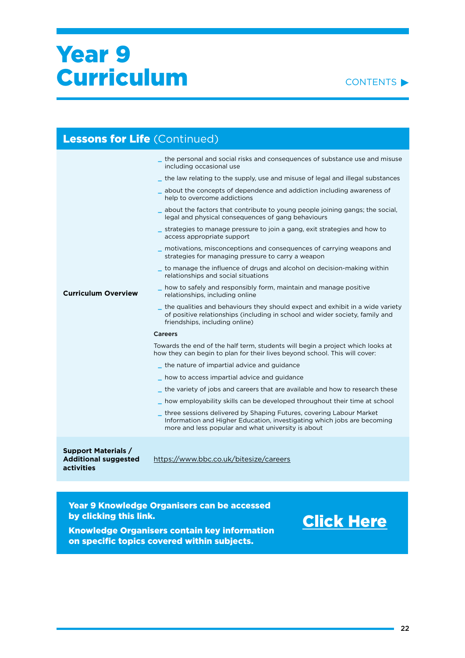$L_{\text{max}}$  is  $L_{\text{max}}$ 



| <b>Lessons for Life (Continued)</b>                       |                                                                                                                                                                                                      |
|-----------------------------------------------------------|------------------------------------------------------------------------------------------------------------------------------------------------------------------------------------------------------|
|                                                           | the personal and social risks and consequences of substance use and misuse<br>including occasional use                                                                                               |
|                                                           | the law relating to the supply, use and misuse of legal and illegal substances                                                                                                                       |
|                                                           | about the concepts of dependence and addiction including awareness of<br>help to overcome addictions                                                                                                 |
|                                                           | about the factors that contribute to young people joining gangs; the social,<br>legal and physical consequences of gang behaviours                                                                   |
|                                                           | strategies to manage pressure to join a gang, exit strategies and how to<br>access appropriate support                                                                                               |
|                                                           | motivations, misconceptions and consequences of carrying weapons and<br>strategies for managing pressure to carry a weapon                                                                           |
|                                                           | to manage the influence of drugs and alcohol on decision-making within<br>relationships and social situations                                                                                        |
| <b>Curriculum Overview</b>                                | how to safely and responsibly form, maintain and manage positive<br>relationships, including online                                                                                                  |
|                                                           | the qualities and behaviours they should expect and exhibit in a wide variety<br>of positive relationships (including in school and wider society, family and<br>friendships, including online)      |
|                                                           | Careers                                                                                                                                                                                              |
|                                                           | Towards the end of the half term, students will begin a project which looks at<br>how they can begin to plan for their lives beyond school. This will cover:                                         |
|                                                           | the nature of impartial advice and guidance                                                                                                                                                          |
|                                                           | how to access impartial advice and guidance                                                                                                                                                          |
|                                                           | the variety of jobs and careers that are available and how to research these                                                                                                                         |
|                                                           | how employability skills can be developed throughout their time at school                                                                                                                            |
|                                                           | three sessions delivered by Shaping Futures, covering Labour Market<br>Information and Higher Education, investigating which jobs are becoming<br>more and less popular and what university is about |
| <b>Support Materials /</b><br><b>Additional suggested</b> | https://www.bbc.co.uk/bitesize/careers                                                                                                                                                               |

Year 9 Knowledge Organisers can be accessed by clicking this link.

**activities** 

[Click Here](https://ormistonruncorn-my.sharepoint.com/:f:/g/personal/l_jones_ob-ac_co_uk/EphWPBctcXZKnb5QsCiI_vcBC7UGMCkJ4urSF59AI0xnlw?e=VUpKx7)

Knowledge Organisers contain key information on specific topics covered within subjects.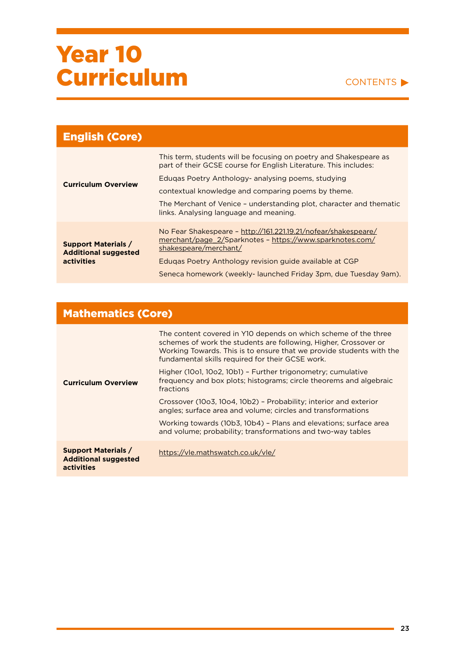#### CONTENTS

| <b>English (Core)</b>                                                          |                                                                                                                                                     |
|--------------------------------------------------------------------------------|-----------------------------------------------------------------------------------------------------------------------------------------------------|
| <b>Curriculum Overview</b>                                                     | This term, students will be focusing on poetry and Shakespeare as<br>part of their GCSE course for English Literature. This includes:               |
|                                                                                | Edugas Poetry Anthology- analysing poems, studying                                                                                                  |
|                                                                                | contextual knowledge and comparing poems by theme.                                                                                                  |
|                                                                                | The Merchant of Venice - understanding plot, character and thematic<br>links. Analysing language and meaning.                                       |
| <b>Support Materials /</b><br><b>Additional suggested</b><br><b>activities</b> | No Fear Shakespeare - http://161.221.19.21/nofear/shakespeare/<br>merchant/page 2/Sparknotes - https://www.sparknotes.com/<br>shakespeare/merchant/ |
|                                                                                | Edugas Poetry Anthology revision guide available at CGP                                                                                             |
|                                                                                | Seneca homework (weekly-launched Friday 3pm, due Tuesday 9am).                                                                                      |

### Mathematics (Core)

|                                                                         | The content covered in Y10 depends on which scheme of the three<br>schemes of work the students are following, Higher, Crossover or<br>Working Towards. This is to ensure that we provide students with the<br>fundamental skills required for their GCSE work.<br>Higher (1001, 1002, 10b1) - Further trigonometry; cumulative<br>frequency and box plots; histograms; circle theorems and algebraic |
|-------------------------------------------------------------------------|-------------------------------------------------------------------------------------------------------------------------------------------------------------------------------------------------------------------------------------------------------------------------------------------------------------------------------------------------------------------------------------------------------|
| <b>Curriculum Overview</b>                                              | fractions                                                                                                                                                                                                                                                                                                                                                                                             |
|                                                                         | Crossover (10o3, 10o4, 10b2) - Probability; interior and exterior<br>angles; surface area and volume; circles and transformations                                                                                                                                                                                                                                                                     |
|                                                                         | Working towards (10b3, 10b4) - Plans and elevations; surface area<br>and volume; probability; transformations and two-way tables                                                                                                                                                                                                                                                                      |
| <b>Support Materials /</b><br><b>Additional suggested</b><br>activities | https://vle.mathswatch.co.uk/vle/                                                                                                                                                                                                                                                                                                                                                                     |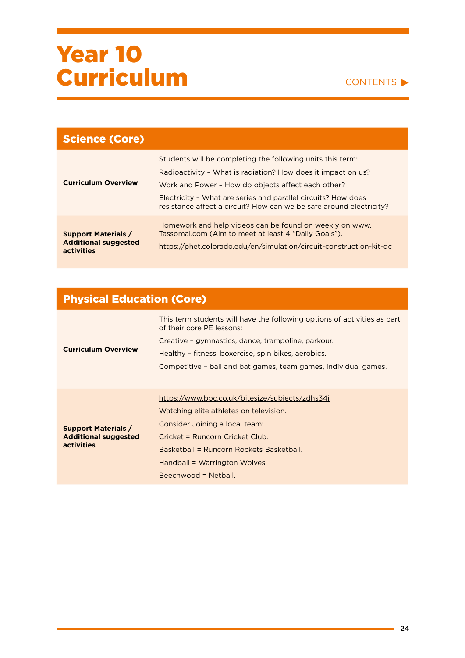

| <b>Science (Core)</b>                                                          |                                                                                                                                                                                                                                                                                                                          |
|--------------------------------------------------------------------------------|--------------------------------------------------------------------------------------------------------------------------------------------------------------------------------------------------------------------------------------------------------------------------------------------------------------------------|
| <b>Curriculum Overview</b>                                                     | Students will be completing the following units this term:<br>Radioactivity - What is radiation? How does it impact on us?<br>Work and Power - How do objects affect each other?<br>Electricity - What are series and parallel circuits? How does<br>resistance affect a circuit? How can we be safe around electricity? |
| <b>Support Materials /</b><br><b>Additional suggested</b><br><b>activities</b> | Homework and help videos can be found on weekly on www.<br>Tassomai.com (Aim to meet at least 4 "Daily Goals").<br>https://phet.colorado.edu/en/simulation/circuit-construction-kit-dc                                                                                                                                   |

| <b>Physical Education (Core)</b> |  |
|----------------------------------|--|
|                                  |  |

| <b>Curriculum Overview</b>                                                     | This term students will have the following options of activities as part<br>of their core PE lessons:<br>Creative - gymnastics, dance, trampoline, parkour.<br>Healthy - fitness, boxercise, spin bikes, aerobics.<br>Competitive – ball and bat games, team games, individual games. |
|--------------------------------------------------------------------------------|---------------------------------------------------------------------------------------------------------------------------------------------------------------------------------------------------------------------------------------------------------------------------------------|
| <b>Support Materials /</b><br><b>Additional suggested</b><br><b>activities</b> | https://www.bbc.co.uk/bitesize/subjects/zdhs34j<br>Watching elite athletes on television.<br>Consider Joining a local team:<br>Cricket = Runcorn Cricket Club.<br>Basketball = Runcorn Rockets Basketball.<br>Handball = Warrington Wolves.<br>$Beechwood = Netball$                  |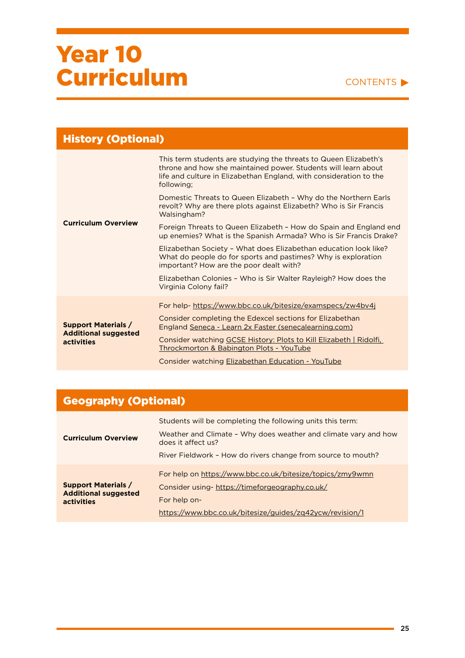#### CONTENTS

| <b>History (Optional)</b>                                                      |                                                                                                                                                                                                                        |
|--------------------------------------------------------------------------------|------------------------------------------------------------------------------------------------------------------------------------------------------------------------------------------------------------------------|
| <b>Curriculum Overview</b>                                                     | This term students are studying the threats to Queen Elizabeth's<br>throne and how she maintained power. Students will learn about<br>life and culture in Elizabethan England, with consideration to the<br>following; |
|                                                                                | Domestic Threats to Queen Elizabeth - Why do the Northern Earls<br>revolt? Why are there plots against Elizabeth? Who is Sir Francis<br>Walsingham?                                                                    |
|                                                                                | Foreign Threats to Queen Elizabeth - How do Spain and England end<br>up enemies? What is the Spanish Armada? Who is Sir Francis Drake?                                                                                 |
|                                                                                | Elizabethan Society - What does Elizabethan education look like?<br>What do people do for sports and pastimes? Why is exploration<br>important? How are the poor dealt with?                                           |
|                                                                                | Elizabethan Colonies - Who is Sir Walter Rayleigh? How does the<br>Virginia Colony fail?                                                                                                                               |
| <b>Support Materials /</b><br><b>Additional suggested</b><br><b>activities</b> | For help- https://www.bbc.co.uk/bitesize/examspecs/zw4bv4j                                                                                                                                                             |
|                                                                                | Consider completing the Edexcel sections for Elizabethan<br>England Seneca - Learn 2x Faster (senecalearning.com)                                                                                                      |
|                                                                                | Consider watching GCSE History: Plots to Kill Elizabeth   Ridolfi,<br><b>Throckmorton &amp; Babington Plots - YouTube</b>                                                                                              |
|                                                                                | Consider watching Elizabethan Education - YouTube                                                                                                                                                                      |

### Geography (Optional)

| <b>Curriculum Overview</b>                                                     | Students will be completing the following units this term:                            |
|--------------------------------------------------------------------------------|---------------------------------------------------------------------------------------|
|                                                                                | Weather and Climate - Why does weather and climate vary and how<br>does it affect us? |
|                                                                                | River Fieldwork - How do rivers change from source to mouth?                          |
| <b>Support Materials /</b><br><b>Additional suggested</b><br><b>activities</b> | For help on https://www.bbc.co.uk/bitesize/topics/zmy9wmn                             |
|                                                                                | Consider using-https://timeforgeography.co.uk/                                        |
|                                                                                | For help on-                                                                          |
|                                                                                | https://www.bbc.co.uk/bitesize/guides/zq42ycw/revision/1                              |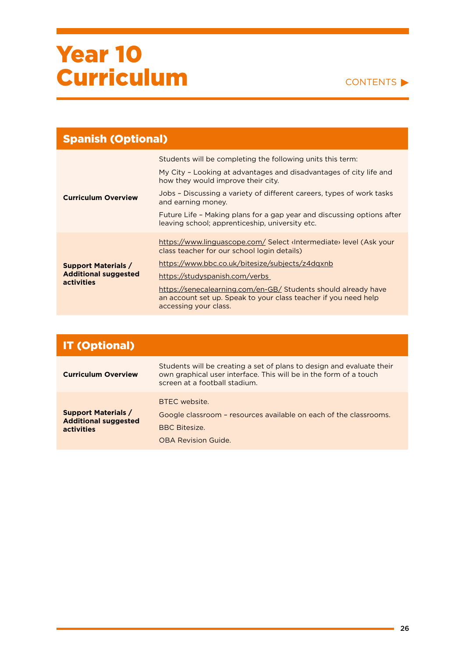

| <b>Spanish (Optional)</b>                                                      |                                                                                                                                                            |
|--------------------------------------------------------------------------------|------------------------------------------------------------------------------------------------------------------------------------------------------------|
|                                                                                | Students will be completing the following units this term:                                                                                                 |
| <b>Curriculum Overview</b>                                                     | My City - Looking at advantages and disadvantages of city life and<br>how they would improve their city.                                                   |
|                                                                                | Jobs - Discussing a variety of different careers, types of work tasks<br>and earning money.                                                                |
|                                                                                | Future Life - Making plans for a gap year and discussing options after<br>leaving school; apprenticeship, university etc.                                  |
| <b>Support Materials /</b><br><b>Additional suggested</b><br><b>activities</b> | https://www.linguascope.com/ Select dite> level (Ask your<br>class teacher for our school login details)                                                   |
|                                                                                | https://www.bbc.co.uk/bitesize/subjects/z4dqxnb                                                                                                            |
|                                                                                | https://studyspanish.com/verbs                                                                                                                             |
|                                                                                | https://senecalearning.com/en-GB/ Students should already have<br>an account set up. Speak to your class teacher if you need help<br>accessing your class. |

| <b>IT (Optional)</b>                                                    |                                                                                                                                                                             |
|-------------------------------------------------------------------------|-----------------------------------------------------------------------------------------------------------------------------------------------------------------------------|
| <b>Curriculum Overview</b>                                              | Students will be creating a set of plans to design and evaluate their<br>own graphical user interface. This will be in the form of a touch<br>screen at a football stadium. |
| <b>Support Materials /</b><br><b>Additional suggested</b><br>activities | BTFC website.<br>Google classroom - resources available on each of the classrooms.<br><b>BBC Bitesize.</b><br><b>OBA Revision Guide.</b>                                    |

ä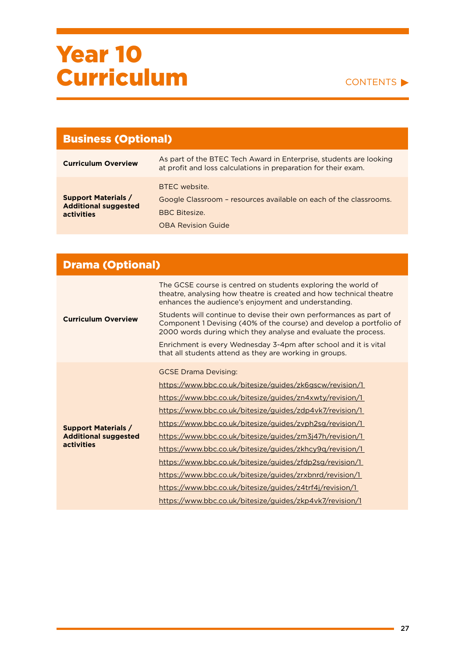

| <b>Business (Optional)</b>                                                     |                                                                                                                                         |
|--------------------------------------------------------------------------------|-----------------------------------------------------------------------------------------------------------------------------------------|
| <b>Curriculum Overview</b>                                                     | As part of the BTEC Tech Award in Enterprise, students are looking<br>at profit and loss calculations in preparation for their exam.    |
| <b>Support Materials /</b><br><b>Additional suggested</b><br><b>activities</b> | BTFC website.<br>Google Classroom - resources available on each of the classrooms.<br><b>BBC Bitesize.</b><br><b>OBA Revision Guide</b> |

| <b>Drama (Optional)</b>                                                 |                                                                                                                                                                                                                                                                                                                                                                                                                                                                                                                                                                                                                                                     |  |
|-------------------------------------------------------------------------|-----------------------------------------------------------------------------------------------------------------------------------------------------------------------------------------------------------------------------------------------------------------------------------------------------------------------------------------------------------------------------------------------------------------------------------------------------------------------------------------------------------------------------------------------------------------------------------------------------------------------------------------------------|--|
| <b>Curriculum Overview</b>                                              | The GCSE course is centred on students exploring the world of<br>theatre, analysing how theatre is created and how technical theatre<br>enhances the audience's enjoyment and understanding.                                                                                                                                                                                                                                                                                                                                                                                                                                                        |  |
|                                                                         | Students will continue to devise their own performances as part of<br>Component 1 Devising (40% of the course) and develop a portfolio of<br>2000 words during which they analyse and evaluate the process.                                                                                                                                                                                                                                                                                                                                                                                                                                         |  |
|                                                                         | Enrichment is every Wednesday 3-4pm after school and it is vital<br>that all students attend as they are working in groups.                                                                                                                                                                                                                                                                                                                                                                                                                                                                                                                         |  |
| <b>Support Materials /</b><br><b>Additional suggested</b><br>activities | <b>GCSE Drama Devising:</b><br>https://www.bbc.co.uk/bitesize/guides/zk6gscw/revision/1<br>https://www.bbc.co.uk/bitesize/guides/zn4xwty/revision/1<br>https://www.bbc.co.uk/bitesize/guides/zdp4vk7/revision/1<br>https://www.bbc.co.uk/bitesize/guides/zvph2sg/revision/1<br>https://www.bbc.co.uk/bitesize/guides/zm3j47h/revision/1<br>https://www.bbc.co.uk/bitesize/guides/zkhcy9q/revision/1<br>https://www.bbc.co.uk/bitesize/guides/zfdp2sg/revision/1<br>https://www.bbc.co.uk/bitesize/guides/zrxbnrd/revision/1<br>https://www.bbc.co.uk/bitesize/guides/z4trf4j/revision/1<br>https://www.bbc.co.uk/bitesize/guides/zkp4vk7/revision/1 |  |

ä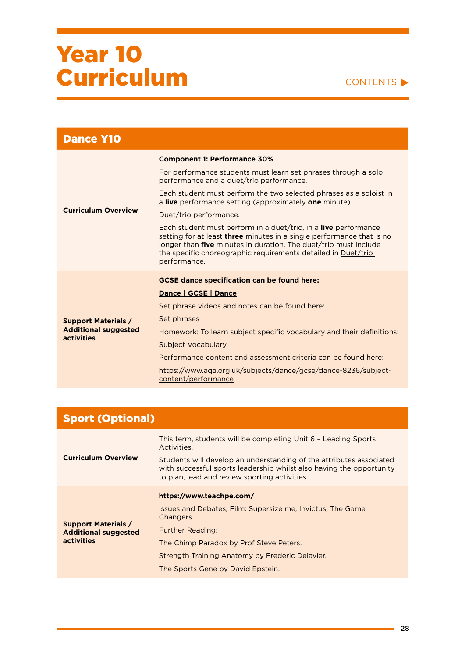#### CONTENTS

| <b>Dance Y10</b>                          |                                                                                                                                                                                                                                                                                                                    |
|-------------------------------------------|--------------------------------------------------------------------------------------------------------------------------------------------------------------------------------------------------------------------------------------------------------------------------------------------------------------------|
|                                           | <b>Component 1: Performance 30%</b>                                                                                                                                                                                                                                                                                |
|                                           | For performance students must learn set phrases through a solo<br>performance and a duet/trio performance.                                                                                                                                                                                                         |
|                                           | Each student must perform the two selected phrases as a soloist in<br>a live performance setting (approximately one minute).                                                                                                                                                                                       |
| <b>Curriculum Overview</b>                | Duet/trio performance.                                                                                                                                                                                                                                                                                             |
|                                           | Each student must perform in a duet/trio, in a <b>live</b> performance<br>setting for at least <b>three</b> minutes in a single performance that is no<br>longer than <b>five</b> minutes in duration. The duet/trio must include<br>the specific choreographic requirements detailed in Duet/trio<br>performance. |
|                                           | <b>GCSE dance specification can be found here:</b>                                                                                                                                                                                                                                                                 |
|                                           | Dance   GCSE   Dance                                                                                                                                                                                                                                                                                               |
|                                           | Set phrase videos and notes can be found here:                                                                                                                                                                                                                                                                     |
| <b>Support Materials /</b>                | Set phrases                                                                                                                                                                                                                                                                                                        |
| <b>Additional suggested</b><br>activities | Homework: To learn subject specific vocabulary and their definitions:                                                                                                                                                                                                                                              |
|                                           | Subject Vocabulary                                                                                                                                                                                                                                                                                                 |
|                                           | Performance content and assessment criteria can be found here:                                                                                                                                                                                                                                                     |
|                                           | https://www.aqa.org.uk/subjects/dance/gcse/dance-8236/subject-<br>content/performance                                                                                                                                                                                                                              |

| <b>Sport (Optional)</b>                                                 |                                                                                                                                                                                              |
|-------------------------------------------------------------------------|----------------------------------------------------------------------------------------------------------------------------------------------------------------------------------------------|
| <b>Curriculum Overview</b>                                              | This term, students will be completing Unit 6 - Leading Sports<br>Activities.                                                                                                                |
|                                                                         | Students will develop an understanding of the attributes associated<br>with successful sports leadership whilst also having the opportunity<br>to plan, lead and review sporting activities. |
|                                                                         | https://www.teachpe.com/                                                                                                                                                                     |
| <b>Support Materials /</b><br><b>Additional suggested</b><br>activities | Issues and Debates, Film: Supersize me, Invictus, The Game<br>Changers.                                                                                                                      |
|                                                                         | <b>Further Reading:</b>                                                                                                                                                                      |
|                                                                         | The Chimp Paradox by Prof Steve Peters.                                                                                                                                                      |
|                                                                         | Strength Training Anatomy by Frederic Delavier.                                                                                                                                              |
|                                                                         | The Sports Gene by David Epstein.                                                                                                                                                            |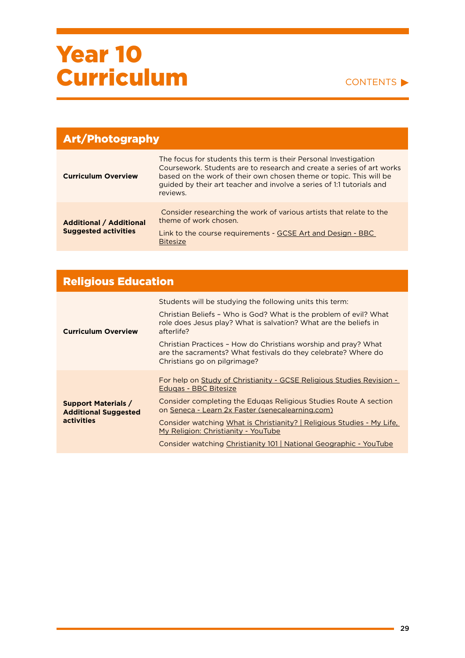#### CONTENTS

| <b>Art/Photography</b>                                        |                                                                                                                                                                                                                                                                                                      |
|---------------------------------------------------------------|------------------------------------------------------------------------------------------------------------------------------------------------------------------------------------------------------------------------------------------------------------------------------------------------------|
| <b>Curriculum Overview</b>                                    | The focus for students this term is their Personal Investigation<br>Coursework. Students are to research and create a series of art works<br>based on the work of their own chosen theme or topic. This will be<br>guided by their art teacher and involve a series of 1:1 tutorials and<br>reviews. |
| <b>Additional / Additional</b><br><b>Suggested activities</b> | Consider researching the work of various artists that relate to the<br>theme of work chosen.<br>Link to the course requirements - GCSE Art and Design - BBC<br><b>Bitesize</b>                                                                                                                       |

### Religious Education

|                                                                                | Students will be studying the following units this term:                                                                                                         |
|--------------------------------------------------------------------------------|------------------------------------------------------------------------------------------------------------------------------------------------------------------|
| <b>Curriculum Overview</b>                                                     | Christian Beliefs - Who is God? What is the problem of evil? What<br>role does Jesus play? What is salvation? What are the beliefs in<br>afterlife?              |
|                                                                                | Christian Practices - How do Christians worship and pray? What<br>are the sacraments? What festivals do they celebrate? Where do<br>Christians go on pilgrimage? |
| <b>Support Materials /</b><br><b>Additional Suggested</b><br><b>activities</b> | For help on Study of Christianity - GCSE Religious Studies Revision -<br><b>Edugas - BBC Bitesize</b>                                                            |
|                                                                                | Consider completing the Edugas Religious Studies Route A section<br>on Seneca - Learn 2x Faster (senecalearning.com)                                             |
|                                                                                | Consider watching What is Christianity?   Religious Studies - My Life,<br>My Religion: Christianity - YouTube                                                    |
|                                                                                | Consider watching Christianity 101   National Geographic - YouTube                                                                                               |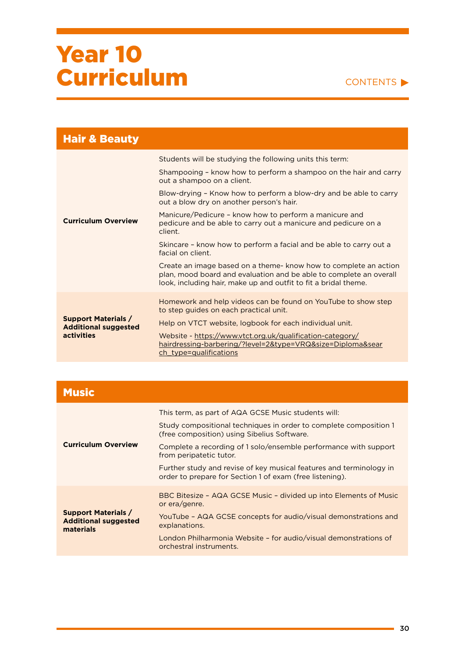

| <b>Hair &amp; Beauty</b>                                                |                                                                                                                                                                                                           |
|-------------------------------------------------------------------------|-----------------------------------------------------------------------------------------------------------------------------------------------------------------------------------------------------------|
|                                                                         | Students will be studying the following units this term:                                                                                                                                                  |
|                                                                         | Shampooing - know how to perform a shampoo on the hair and carry<br>out a shampoo on a client.                                                                                                            |
|                                                                         | Blow-drying - Know how to perform a blow-dry and be able to carry<br>out a blow dry on another person's hair.                                                                                             |
| <b>Curriculum Overview</b>                                              | Manicure/Pedicure - know how to perform a manicure and<br>pedicure and be able to carry out a manicure and pedicure on a<br>client.                                                                       |
|                                                                         | Skincare - know how to perform a facial and be able to carry out a<br>facial on client.                                                                                                                   |
|                                                                         | Create an image based on a theme- know how to complete an action<br>plan, mood board and evaluation and be able to complete an overall<br>look, including hair, make up and outfit to fit a bridal theme. |
| <b>Support Materials /</b><br><b>Additional suggested</b><br>activities | Homework and help videos can be found on YouTube to show step<br>to step guides on each practical unit.                                                                                                   |
|                                                                         | Help on VTCT website, logbook for each individual unit.                                                                                                                                                   |
|                                                                         | Website - https://www.vtct.org.uk/qualification-category/<br><u> hairdressing-barbering/?level=2&amp;type=VRQ&amp;size=Diploma&amp;sear</u><br>ch type=qualifications                                     |

| <b>Music</b>                                                           |                                                                                                                                                                                                                                                                                                                                                                                                           |
|------------------------------------------------------------------------|-----------------------------------------------------------------------------------------------------------------------------------------------------------------------------------------------------------------------------------------------------------------------------------------------------------------------------------------------------------------------------------------------------------|
| <b>Curriculum Overview</b>                                             | This term, as part of AQA GCSE Music students will:<br>Study compositional techniques in order to complete composition 1<br>(free composition) using Sibelius Software.<br>Complete a recording of 1 solo/ensemble performance with support<br>from peripatetic tutor.<br>Further study and revise of key musical features and terminology in<br>order to prepare for Section 1 of exam (free listening). |
| <b>Support Materials /</b><br><b>Additional suggested</b><br>materials | BBC Bitesize - AQA GCSE Music - divided up into Elements of Music<br>or era/genre.<br>YouTube - AQA GCSE concepts for audio/visual demonstrations and<br>explanations.<br>London Philharmonia Website - for audio/visual demonstrations of<br>orchestral instruments.                                                                                                                                     |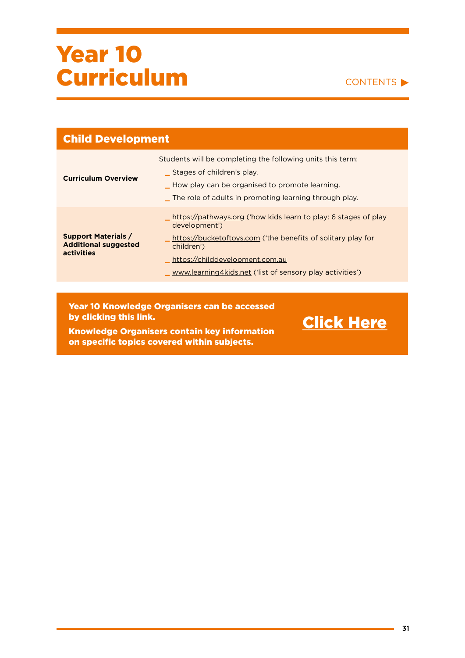

[Click Here](https://ormistonruncorn-my.sharepoint.com/:f:/g/personal/l_jones_ob-ac_co_uk/EhZgqIEInxRHoy1WMgwFJYkBJivxkjEGEL20n_rErGsWQg?e=kHMN9h)

| <b>Child Development</b>                                                |                                                                                                                                                                                                                                                                |
|-------------------------------------------------------------------------|----------------------------------------------------------------------------------------------------------------------------------------------------------------------------------------------------------------------------------------------------------------|
| <b>Curriculum Overview</b>                                              | Students will be completing the following units this term:<br>Stages of children's play.<br>_How play can be organised to promote learning.<br>The role of adults in promoting learning through play.                                                          |
| <b>Support Materials /</b><br><b>Additional suggested</b><br>activities | https://pathways.org ('how kids learn to play: 6 stages of play<br>development')<br>https://bucketoftoys.com ('the benefits of solitary play for<br>children')<br>https://childdevelopment.com.au<br>www.learning4kids.net ('list of sensory play activities') |
|                                                                         |                                                                                                                                                                                                                                                                |

Year 10 Knowledge Organisers can be accessed by clicking this link.

Knowledge Organisers contain key information on specific topics covered within subjects.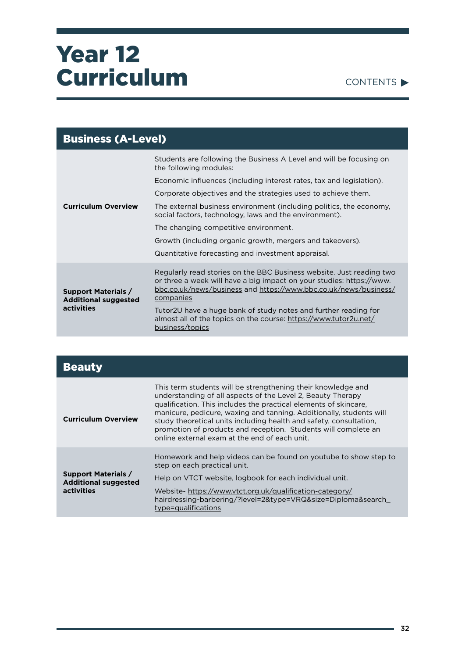

| <b>Business (A-Level)</b>                                                      |                                                                                                                                                                                                                               |
|--------------------------------------------------------------------------------|-------------------------------------------------------------------------------------------------------------------------------------------------------------------------------------------------------------------------------|
|                                                                                | Students are following the Business A Level and will be focusing on<br>the following modules:                                                                                                                                 |
|                                                                                | Economic influences (including interest rates, tax and legislation).                                                                                                                                                          |
|                                                                                | Corporate objectives and the strategies used to achieve them.                                                                                                                                                                 |
| <b>Curriculum Overview</b>                                                     | The external business environment (including politics, the economy,<br>social factors, technology, laws and the environment).                                                                                                 |
|                                                                                | The changing competitive environment.                                                                                                                                                                                         |
|                                                                                | Growth (including organic growth, mergers and takeovers).                                                                                                                                                                     |
|                                                                                | Quantitative forecasting and investment appraisal.                                                                                                                                                                            |
| <b>Support Materials /</b><br><b>Additional suggested</b><br><b>activities</b> | Regularly read stories on the BBC Business website. Just reading two<br>or three a week will have a big impact on your studies: https://www.<br>bbc.co.uk/news/business and https://www.bbc.co.uk/news/business/<br>companies |
|                                                                                | Tutor2U have a huge bank of study notes and further reading for<br>almost all of the topics on the course: https://www.tutor2u.net/<br>business/topics                                                                        |

| <b>Beauty</b>                                                                  |                                                                                                                                                                                                                                                                                                                                                                                                                                                                 |
|--------------------------------------------------------------------------------|-----------------------------------------------------------------------------------------------------------------------------------------------------------------------------------------------------------------------------------------------------------------------------------------------------------------------------------------------------------------------------------------------------------------------------------------------------------------|
| <b>Curriculum Overview</b>                                                     | This term students will be strengthening their knowledge and<br>understanding of all aspects of the Level 2, Beauty Therapy<br>qualification. This includes the practical elements of skincare.<br>manicure, pedicure, waxing and tanning. Additionally, students will<br>study theoretical units including health and safety, consultation,<br>promotion of products and reception. Students will complete an<br>online external exam at the end of each unit. |
| <b>Support Materials /</b><br><b>Additional suggested</b><br><b>activities</b> | Homework and help videos can be found on youtube to show step to<br>step on each practical unit.<br>Help on VTCT website, logbook for each individual unit.<br>Website-https://www.vtct.org.uk/qualification-category/<br>hairdressing-barbering/?level=2&type=VRQ&size=Diploma&search                                                                                                                                                                          |
|                                                                                | type=qualifications                                                                                                                                                                                                                                                                                                                                                                                                                                             |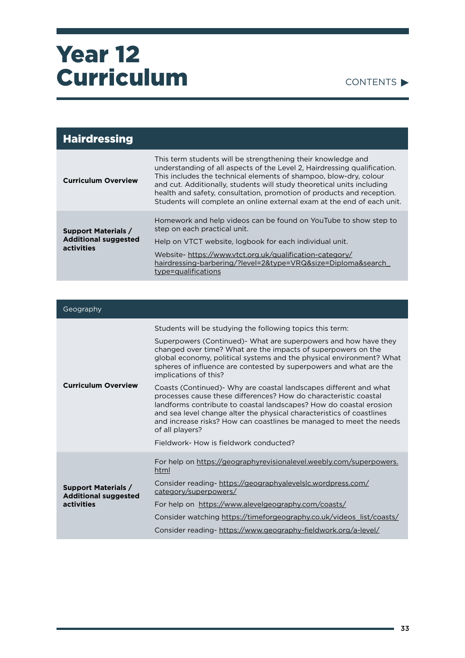

| <b>Hairdressing</b>                                                     |                                                                                                                                                                                                                                                                                                                                                                                                                                             |
|-------------------------------------------------------------------------|---------------------------------------------------------------------------------------------------------------------------------------------------------------------------------------------------------------------------------------------------------------------------------------------------------------------------------------------------------------------------------------------------------------------------------------------|
| <b>Curriculum Overview</b>                                              | This term students will be strengthening their knowledge and<br>understanding of all aspects of the Level 2, Hairdressing qualification.<br>This includes the technical elements of shampoo, blow-dry, colour<br>and cut. Additionally, students will study theoretical units including<br>health and safety, consultation, promotion of products and reception.<br>Students will complete an online external exam at the end of each unit. |
| <b>Support Materials /</b><br><b>Additional suggested</b><br>activities | Homework and help videos can be found on YouTube to show step to<br>step on each practical unit.<br>Help on VTCT website, logbook for each individual unit.<br>Website-https://www.vtct.org.uk/qualification-category/<br>hairdressing-barbering/?level=2&type=VRQ&size=Diploma&search<br>type=qualifications                                                                                                                               |

| Geography                                                               |                                                                                                                                                                                                                                                                                                                                                                               |
|-------------------------------------------------------------------------|-------------------------------------------------------------------------------------------------------------------------------------------------------------------------------------------------------------------------------------------------------------------------------------------------------------------------------------------------------------------------------|
| <b>Curriculum Overview</b>                                              | Students will be studying the following topics this term:                                                                                                                                                                                                                                                                                                                     |
|                                                                         | Superpowers (Continued) What are superpowers and how have they<br>changed over time? What are the impacts of superpowers on the<br>global economy, political systems and the physical environment? What<br>spheres of influence are contested by superpowers and what are the<br>implications of this?                                                                        |
|                                                                         | Coasts (Continued) Why are coastal landscapes different and what<br>processes cause these differences? How do characteristic coastal<br>landforms contribute to coastal landscapes? How do coastal erosion<br>and sea level change alter the physical characteristics of coastlines<br>and increase risks? How can coastlines be managed to meet the needs<br>of all players? |
|                                                                         | Fieldwork- How is fieldwork conducted?                                                                                                                                                                                                                                                                                                                                        |
| <b>Support Materials /</b><br><b>Additional suggested</b><br>activities | For help on https://geographyrevisionalevel.weebly.com/superpowers.<br>html                                                                                                                                                                                                                                                                                                   |
|                                                                         | Consider reading- https://geographyalevelslc.wordpress.com/<br>category/superpowers/                                                                                                                                                                                                                                                                                          |
|                                                                         | For help on https://www.alevelgeography.com/coasts/                                                                                                                                                                                                                                                                                                                           |
|                                                                         | Consider watching https://timeforgeography.co.uk/videos_list/coasts/                                                                                                                                                                                                                                                                                                          |
|                                                                         | Consider reading- https://www.geography-fieldwork.org/a-level/                                                                                                                                                                                                                                                                                                                |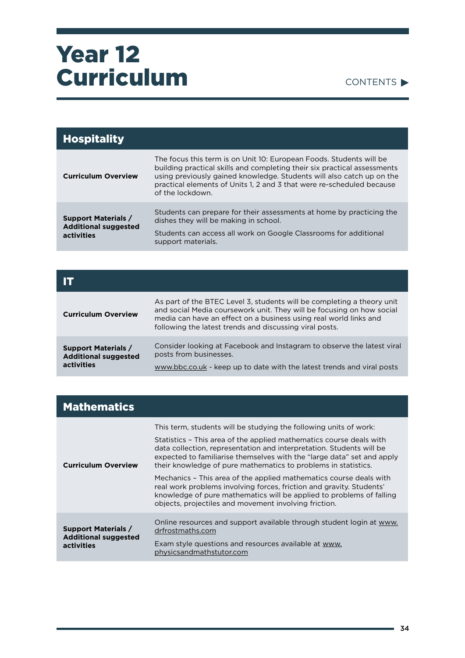

| <b>Hospitality</b>                                                      |                                                                                                                                                                                                                                                                                                                       |
|-------------------------------------------------------------------------|-----------------------------------------------------------------------------------------------------------------------------------------------------------------------------------------------------------------------------------------------------------------------------------------------------------------------|
| <b>Curriculum Overview</b>                                              | The focus this term is on Unit 10: European Foods. Students will be<br>building practical skills and completing their six practical assessments<br>using previously gained knowledge. Students will also catch up on the<br>practical elements of Units 1, 2 and 3 that were re-scheduled because<br>of the lockdown. |
| <b>Support Materials /</b><br><b>Additional suggested</b><br>activities | Students can prepare for their assessments at home by practicing the<br>dishes they will be making in school.<br>Students can access all work on Google Classrooms for additional                                                                                                                                     |
|                                                                         | support materials.                                                                                                                                                                                                                                                                                                    |

| <b>Curriculum Overview</b>                                                     | As part of the BTEC Level 3, students will be completing a theory unit<br>and social Media coursework unit. They will be focusing on how social<br>media can have an effect on a business using real world links and<br>following the latest trends and discussing viral posts. |
|--------------------------------------------------------------------------------|---------------------------------------------------------------------------------------------------------------------------------------------------------------------------------------------------------------------------------------------------------------------------------|
| <b>Support Materials /</b><br><b>Additional suggested</b><br><b>activities</b> | Consider looking at Facebook and Instagram to observe the latest viral<br>posts from businesses.<br>www.bbc.co.uk - keep up to date with the latest trends and viral posts                                                                                                      |

| <b>Mathematics</b>                                                      |                                                                                                                                                                                                                                                                                                                                                                                                                                                                                                                                                                                                                                             |
|-------------------------------------------------------------------------|---------------------------------------------------------------------------------------------------------------------------------------------------------------------------------------------------------------------------------------------------------------------------------------------------------------------------------------------------------------------------------------------------------------------------------------------------------------------------------------------------------------------------------------------------------------------------------------------------------------------------------------------|
| <b>Curriculum Overview</b>                                              | This term, students will be studying the following units of work:<br>Statistics - This area of the applied mathematics course deals with<br>data collection, representation and interpretation. Students will be<br>expected to familiarise themselves with the "large data" set and apply<br>their knowledge of pure mathematics to problems in statistics.<br>Mechanics - This area of the applied mathematics course deals with<br>real work problems involving forces, friction and gravity. Students'<br>knowledge of pure mathematics will be applied to problems of falling<br>objects, projectiles and movement involving friction. |
| <b>Support Materials /</b><br><b>Additional suggested</b><br>activities | Online resources and support available through student login at www.<br>drfrostmaths.com<br>Exam style questions and resources available at www.<br>physicsandmathstutor.com                                                                                                                                                                                                                                                                                                                                                                                                                                                                |

۰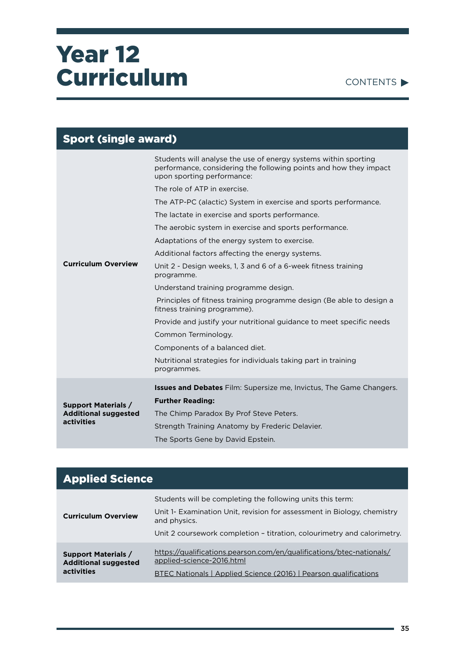

| <b>Sport (single award)</b> |                                                                                                                                                                    |
|-----------------------------|--------------------------------------------------------------------------------------------------------------------------------------------------------------------|
|                             | Students will analyse the use of energy systems within sporting<br>performance, considering the following points and how they impact<br>upon sporting performance: |
|                             | The role of ATP in exercise.                                                                                                                                       |
|                             | The ATP-PC (alactic) System in exercise and sports performance.                                                                                                    |
|                             | The lactate in exercise and sports performance.                                                                                                                    |
|                             | The aerobic system in exercise and sports performance.                                                                                                             |
|                             | Adaptations of the energy system to exercise.                                                                                                                      |
|                             | Additional factors affecting the energy systems.                                                                                                                   |
| <b>Curriculum Overview</b>  | Unit 2 - Design weeks, 1, 3 and 6 of a 6-week fitness training<br>programme.                                                                                       |
|                             | Understand training programme design.                                                                                                                              |
|                             | Principles of fitness training programme design (Be able to design a<br>fitness training programme).                                                               |
|                             | Provide and justify your nutritional guidance to meet specific needs                                                                                               |
|                             | Common Terminology.                                                                                                                                                |
|                             | Components of a balanced diet.                                                                                                                                     |
|                             | Nutritional strategies for individuals taking part in training<br>programmes.                                                                                      |
|                             | <b>Issues and Debates</b> Film: Supersize me, Invictus, The Game Changers.                                                                                         |
| <b>Support Materials /</b>  | <b>Further Reading:</b>                                                                                                                                            |
| <b>Additional suggested</b> | The Chimp Paradox By Prof Steve Peters.                                                                                                                            |
| activities                  | Strength Training Anatomy by Frederic Delavier.                                                                                                                    |
|                             | The Sports Gene by David Epstein.                                                                                                                                  |

| <b>Applied Science</b>                                                  |                                                                                                                                                                                                                                  |
|-------------------------------------------------------------------------|----------------------------------------------------------------------------------------------------------------------------------------------------------------------------------------------------------------------------------|
| <b>Curriculum Overview</b>                                              | Students will be completing the following units this term:<br>Unit 1- Examination Unit, revision for assessment in Biology, chemistry<br>and physics.<br>Unit 2 coursework completion - titration, colourimetry and calorimetry. |
| <b>Support Materials /</b><br><b>Additional suggested</b><br>activities | https://qualifications.pearson.com/en/qualifications/btec-nationals/<br>applied-science-2016.html<br>BTEC Nationals   Applied Science (2016)   Pearson qualifications                                                            |

÷,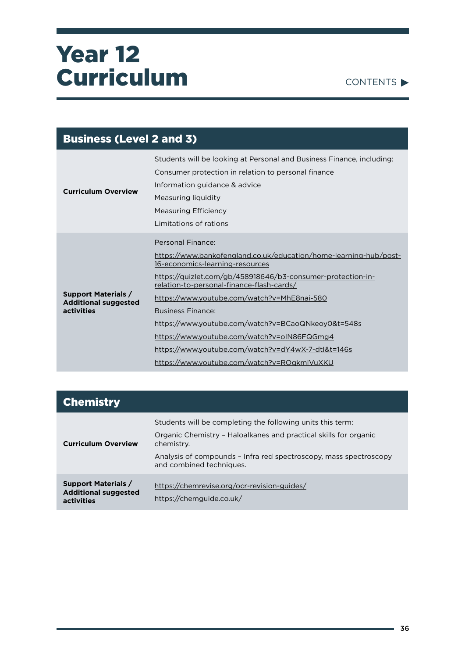

| <b>Business (Level 2 and 3)</b>                                         |                                                                                                                                                                                                                                                                                                                                                                                                                                                                                                                            |
|-------------------------------------------------------------------------|----------------------------------------------------------------------------------------------------------------------------------------------------------------------------------------------------------------------------------------------------------------------------------------------------------------------------------------------------------------------------------------------------------------------------------------------------------------------------------------------------------------------------|
| <b>Curriculum Overview</b>                                              | Students will be looking at Personal and Business Finance, including:<br>Consumer protection in relation to personal finance<br>Information guidance & advice<br>Measuring liquidity<br>Measuring Efficiency<br>Limitations of rations                                                                                                                                                                                                                                                                                     |
| <b>Support Materials /</b><br><b>Additional suggested</b><br>activities | Personal Finance:<br>https://www.bankofengland.co.uk/education/home-learning-hub/post-<br>16-economics-learning-resources<br>https://quizlet.com/gb/458918646/b3-consumer-protection-in-<br>relation-to-personal-finance-flash-cards/<br>https://www.youtube.com/watch?v=MhE8nai-580<br><b>Business Finance:</b><br>https://www.youtube.com/watch?v=BCaoQNkeoy0&t=548s<br>https://www.youtube.com/watch?v=oIN86FQGmg4<br>https://www.youtube.com/watch?v=dY4wX-7-dtl&t=146s<br>https://www.youtube.com/watch?v=ROqkmIVuXKU |

| <b>Chemistry</b>                                                        |                                                                                                                                                                                                                                               |
|-------------------------------------------------------------------------|-----------------------------------------------------------------------------------------------------------------------------------------------------------------------------------------------------------------------------------------------|
| <b>Curriculum Overview</b>                                              | Students will be completing the following units this term:<br>Organic Chemistry - Haloalkanes and practical skills for organic<br>chemistry.<br>Analysis of compounds - Infra red spectroscopy, mass spectroscopy<br>and combined techniques. |
| <b>Support Materials /</b><br><b>Additional suggested</b><br>activities | https://chemrevise.org/ocr-revision-guides/<br>https://chemguide.co.uk/                                                                                                                                                                       |

ä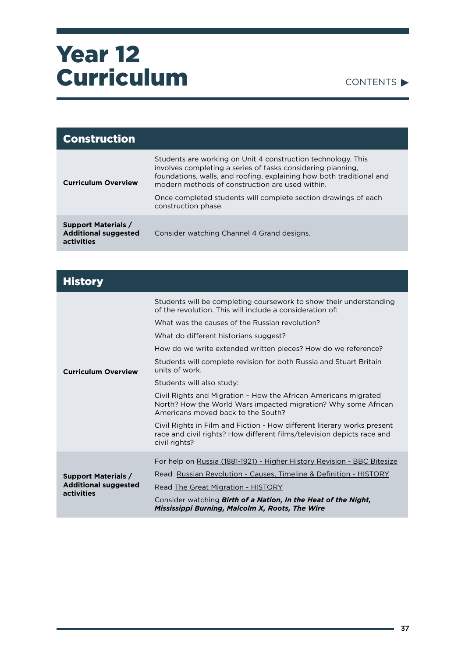

| <b>Construction</b>                                                     |                                                                                                                                                                                                                                                                                                                          |
|-------------------------------------------------------------------------|--------------------------------------------------------------------------------------------------------------------------------------------------------------------------------------------------------------------------------------------------------------------------------------------------------------------------|
| <b>Curriculum Overview</b>                                              | Students are working on Unit 4 construction technology. This<br>involves completing a series of tasks considering planning.<br>foundations, walls, and roofing, explaining how both traditional and<br>modern methods of construction are used within.<br>Once completed students will complete section drawings of each |
|                                                                         | construction phase.                                                                                                                                                                                                                                                                                                      |
| <b>Support Materials /</b><br><b>Additional suggested</b><br>activities | Consider watching Channel 4 Grand designs.                                                                                                                                                                                                                                                                               |

| <b>History</b>                                                          |                                                                                                                                                                                  |
|-------------------------------------------------------------------------|----------------------------------------------------------------------------------------------------------------------------------------------------------------------------------|
|                                                                         | Students will be completing coursework to show their understanding<br>of the revolution. This will include a consideration of:<br>What was the causes of the Russian revolution? |
|                                                                         | What do different historians suggest?                                                                                                                                            |
|                                                                         | How do we write extended written pieces? How do we reference?                                                                                                                    |
| <b>Curriculum Overview</b>                                              | Students will complete revision for both Russia and Stuart Britain<br>units of work.                                                                                             |
|                                                                         | Students will also study:                                                                                                                                                        |
|                                                                         | Civil Rights and Migration - How the African Americans migrated<br>North? How the World Wars impacted migration? Why some African<br>Americans moved back to the South?          |
|                                                                         | Civil Rights in Film and Fiction - How different literary works present<br>race and civil rights? How different films/television depicts race and<br>civil rights?               |
|                                                                         | For help on Russia (1881-1921) - Higher History Revision - BBC Bitesize                                                                                                          |
| <b>Support Materials /</b><br><b>Additional suggested</b><br>activities | Read Russian Revolution - Causes, Timeline & Definition - HISTORY                                                                                                                |
|                                                                         | Read The Great Migration - HISTORY                                                                                                                                               |
|                                                                         | Consider watching <b>Birth of a Nation, In the Heat of the Night,</b><br>Mississippi Burning, Malcolm X, Roots, The Wire                                                         |

ä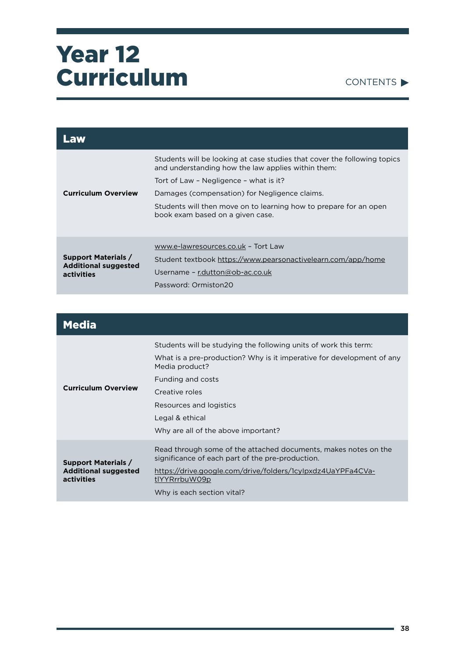

| Law                                                                     |                                                                                                                                |
|-------------------------------------------------------------------------|--------------------------------------------------------------------------------------------------------------------------------|
|                                                                         | Students will be looking at case studies that cover the following topics<br>and understanding how the law applies within them: |
|                                                                         | Tort of Law - Negligence - what is it?                                                                                         |
| <b>Curriculum Overview</b>                                              | Damages (compensation) for Negligence claims.                                                                                  |
|                                                                         | Students will then move on to learning how to prepare for an open<br>book exam based on a given case.                          |
|                                                                         | www.e-lawresources.co.uk - Tort Law                                                                                            |
| <b>Support Materials /</b><br><b>Additional suggested</b><br>activities | Student textbook https://www.pearsonactivelearn.com/app/home                                                                   |
|                                                                         | Username - r.dutton@ob-ac.co.uk                                                                                                |
|                                                                         | Password: Ormiston20                                                                                                           |

| <b>Media</b>                                                            |                                                                                                                                                                                                                                                                                         |
|-------------------------------------------------------------------------|-----------------------------------------------------------------------------------------------------------------------------------------------------------------------------------------------------------------------------------------------------------------------------------------|
| <b>Curriculum Overview</b>                                              | Students will be studying the following units of work this term:<br>What is a pre-production? Why is it imperative for development of any<br>Media product?<br>Funding and costs<br>Creative roles<br>Resources and logistics<br>Legal & ethical<br>Why are all of the above important? |
| <b>Support Materials /</b><br><b>Additional suggested</b><br>activities | Read through some of the attached documents, makes notes on the<br>significance of each part of the pre-production.<br>https://drive.google.com/drive/folders/1cylpxdz4UaYPFa4CVa-<br>tlYYRrrbuW09p<br>Why is each section vital?                                                       |

÷,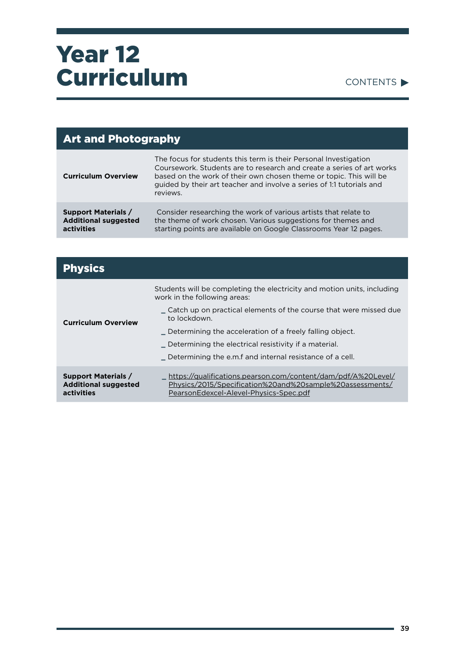

| <b>Art and Photography</b>                                              |                                                                                                                                                                                                                                                                                                      |
|-------------------------------------------------------------------------|------------------------------------------------------------------------------------------------------------------------------------------------------------------------------------------------------------------------------------------------------------------------------------------------------|
| <b>Curriculum Overview</b>                                              | The focus for students this term is their Personal Investigation<br>Coursework. Students are to research and create a series of art works<br>based on the work of their own chosen theme or topic. This will be<br>guided by their art teacher and involve a series of 1:1 tutorials and<br>reviews. |
| <b>Support Materials /</b><br><b>Additional suggested</b><br>activities | Consider researching the work of various artists that relate to<br>the theme of work chosen. Various suggestions for themes and<br>starting points are available on Google Classrooms Year 12 pages.                                                                                                 |

| <b>Physics</b>                                                          |                                                                                                                                                                                                                                                                                                                     |
|-------------------------------------------------------------------------|---------------------------------------------------------------------------------------------------------------------------------------------------------------------------------------------------------------------------------------------------------------------------------------------------------------------|
| <b>Curriculum Overview</b>                                              | Students will be completing the electricity and motion units, including<br>work in the following areas:<br>∟ Catch up on practical elements of the course that were missed due<br>to lockdown.<br>Determining the acceleration of a freely falling object.<br>Determining the electrical resistivity if a material. |
|                                                                         | _ Determining the e.m.f and internal resistance of a cell.                                                                                                                                                                                                                                                          |
| <b>Support Materials /</b><br><b>Additional suggested</b><br>activities | .https://qualifications.pearson.com/content/dam/pdf/A%20Level/<br>Physics/2015/Specification%20and%20sample%20assessments/<br>PearsonEdexcel-Alevel-Physics-Spec.pdf                                                                                                                                                |

۰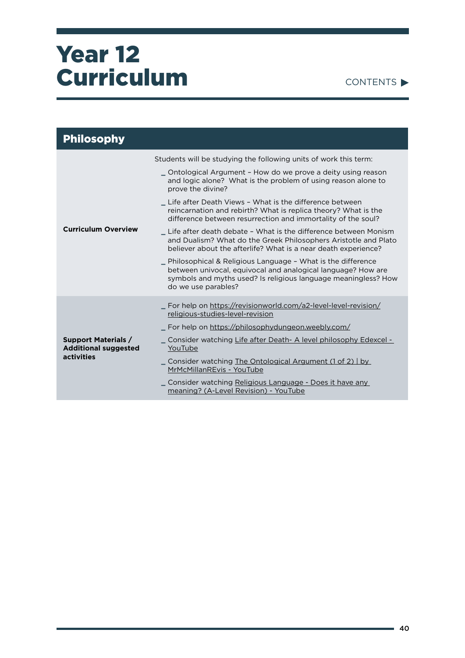

| <b>Philosophy</b>                                                       |                                                                                                                                                                                                                                                                                                                                                                                                                                                                                                                                                                                                                                                                                                                                                                                                                                                          |
|-------------------------------------------------------------------------|----------------------------------------------------------------------------------------------------------------------------------------------------------------------------------------------------------------------------------------------------------------------------------------------------------------------------------------------------------------------------------------------------------------------------------------------------------------------------------------------------------------------------------------------------------------------------------------------------------------------------------------------------------------------------------------------------------------------------------------------------------------------------------------------------------------------------------------------------------|
| <b>Curriculum Overview</b>                                              | Students will be studying the following units of work this term:<br>_ Ontological Argument - How do we prove a deity using reason<br>and logic alone? What is the problem of using reason alone to<br>prove the divine?<br>_ Life after Death Views - What is the difference between<br>reincarnation and rebirth? What is replica theory? What is the<br>difference between resurrection and immortality of the soul?<br>Life after death debate - What is the difference between Monism<br>and Dualism? What do the Greek Philosophers Aristotle and Plato<br>believer about the afterlife? What is a near death experience?<br>_ Philosophical & Religious Language - What is the difference<br>between univocal, equivocal and analogical language? How are<br>symbols and myths used? Is religious language meaningless? How<br>do we use parables? |
| <b>Support Materials /</b><br><b>Additional suggested</b><br>activities | _ For help on https://revisionworld.com/a2-level-level-revision/<br>religious-studies-level-revision<br>_ For help on https://philosophydungeon.weebly.com/<br>_ Consider watching Life after Death- A level philosophy Edexcel -<br>YouTube<br>_ Consider watching The Ontological Argument (1 of 2)   by<br>MrMcMillanREvis - YouTube<br>_ Consider watching Religious Language - Does it have any<br>meaning? (A-Level Revision) - YouTube                                                                                                                                                                                                                                                                                                                                                                                                            |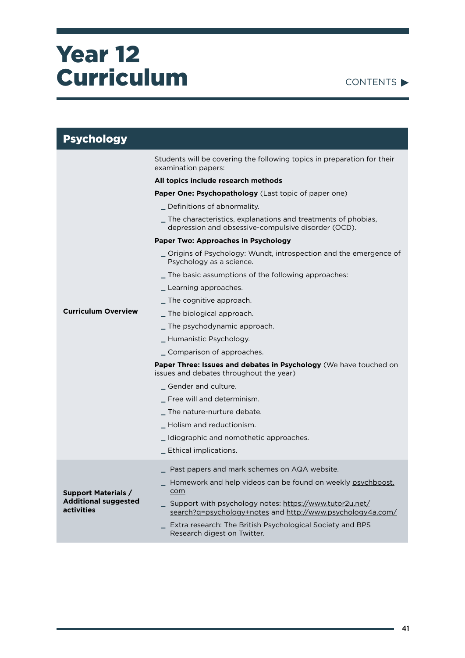#### CONTENTS

| <b>Psychology</b>                         |                                                                                                                       |
|-------------------------------------------|-----------------------------------------------------------------------------------------------------------------------|
|                                           | Students will be covering the following topics in preparation for their<br>examination papers:                        |
|                                           | All topics include research methods                                                                                   |
|                                           | <b>Paper One: Psychopathology</b> (Last topic of paper one)                                                           |
|                                           | _ Definitions of abnormality.                                                                                         |
|                                           | _ The characteristics, explanations and treatments of phobias,<br>depression and obsessive-compulsive disorder (OCD). |
|                                           | Paper Two: Approaches in Psychology                                                                                   |
|                                           | _ Origins of Psychology: Wundt, introspection and the emergence of<br>Psychology as a science.                        |
|                                           | _ The basic assumptions of the following approaches:                                                                  |
| <b>Curriculum Overview</b>                | _ Learning approaches.                                                                                                |
|                                           | The cognitive approach.                                                                                               |
|                                           | _ The biological approach.                                                                                            |
|                                           | _ The psychodynamic approach.                                                                                         |
|                                           | _ Humanistic Psychology.                                                                                              |
|                                           | _ Comparison of approaches.                                                                                           |
|                                           | <b>Paper Three: Issues and debates in Psychology</b> (We have touched on<br>issues and debates throughout the year)   |
|                                           | _ Gender and culture.                                                                                                 |
|                                           | _ Free will and determinism.                                                                                          |
|                                           | The nature-nurture debate.                                                                                            |
|                                           | _ Holism and reductionism.                                                                                            |
|                                           | _Idiographic and nomothetic approaches.                                                                               |
|                                           | _ Ethical implications.                                                                                               |
|                                           | _ Past papers and mark schemes on AQA website.                                                                        |
| <b>Support Materials /</b>                | Homework and help videos can be found on weekly psychboost.<br>com                                                    |
| <b>Additional suggested</b><br>activities | Support with psychology notes: https://www.tutor2u.net/<br>search?q=psychology+notes and http://www.psychology4a.com/ |
|                                           | Extra research: The British Psychological Society and BPS<br>Research digest on Twitter.                              |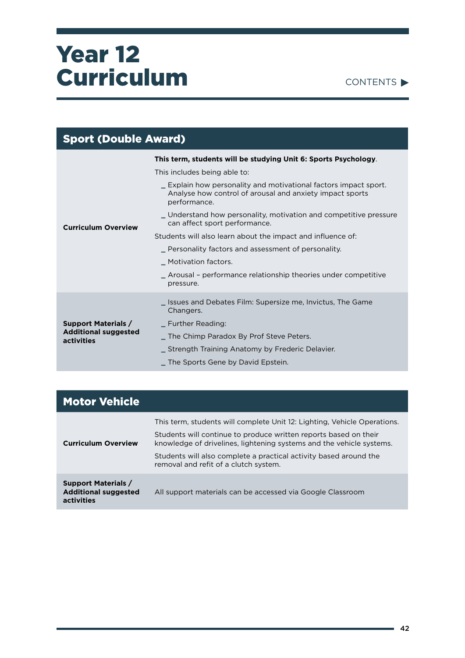

| <b>Sport (Double Award)</b>                                     |                                                                                                                                              |  |
|-----------------------------------------------------------------|----------------------------------------------------------------------------------------------------------------------------------------------|--|
| This term, students will be studying Unit 6: Sports Psychology. |                                                                                                                                              |  |
|                                                                 | This includes being able to:                                                                                                                 |  |
| <b>Curriculum Overview</b>                                      | _ Explain how personality and motivational factors impact sport.<br>Analyse how control of arousal and anxiety impact sports<br>performance. |  |
|                                                                 | _Understand how personality, motivation and competitive pressure<br>can affect sport performance.                                            |  |
|                                                                 | Students will also learn about the impact and influence of:                                                                                  |  |
|                                                                 | <u>Personality factors and assessment of personality.</u>                                                                                    |  |
|                                                                 | _ Motivation factors.                                                                                                                        |  |
|                                                                 | _ Arousal - performance relationship theories under competitive<br>pressure.                                                                 |  |
|                                                                 | Susues and Debates Film: Supersize me, Invictus, The Game<br>Changers.                                                                       |  |
| <b>Support Materials /</b>                                      | _ Further Reading:                                                                                                                           |  |
| <b>Additional suggested</b><br>activities                       | The Chimp Paradox By Prof Steve Peters.                                                                                                      |  |
|                                                                 | Strength Training Anatomy by Frederic Delavier.                                                                                              |  |
|                                                                 | The Sports Gene by David Epstein.                                                                                                            |  |

| <b>Motor Vehicle</b>                                                    |                                                                                                                                                                                                                                                                                                                                    |
|-------------------------------------------------------------------------|------------------------------------------------------------------------------------------------------------------------------------------------------------------------------------------------------------------------------------------------------------------------------------------------------------------------------------|
| <b>Curriculum Overview</b>                                              | This term, students will complete Unit 12: Lighting, Vehicle Operations.<br>Students will continue to produce written reports based on their<br>knowledge of drivelines, lightening systems and the vehicle systems.<br>Students will also complete a practical activity based around the<br>removal and refit of a clutch system. |
| <b>Support Materials /</b><br><b>Additional suggested</b><br>activities | All support materials can be accessed via Google Classroom                                                                                                                                                                                                                                                                         |

۰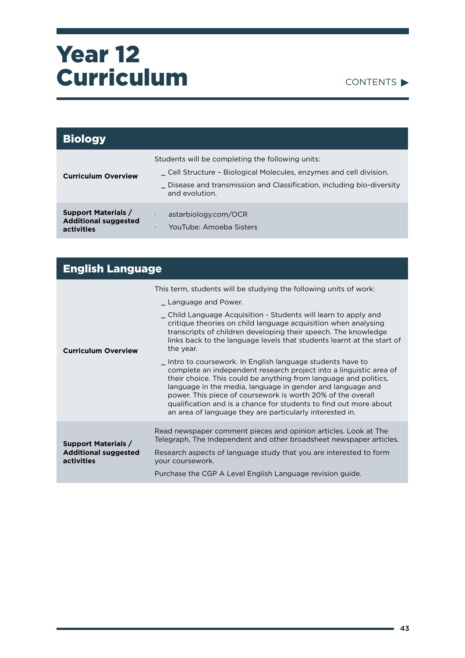

| <b>Biology</b>                                                          |                                                                                                                                                                                                                 |
|-------------------------------------------------------------------------|-----------------------------------------------------------------------------------------------------------------------------------------------------------------------------------------------------------------|
| <b>Curriculum Overview</b>                                              | Students will be completing the following units:<br>Cell Structure - Biological Molecules, enzymes and cell division.<br>Disease and transmission and Classification, including bio-diversity<br>and evolution. |
| <b>Support Materials /</b><br><b>Additional suggested</b><br>activities | astarbiology.com/OCR<br>YouTube: Amoeba Sisters<br>٠                                                                                                                                                            |

| <b>English Language</b>                                                 |                                                                                                                                                                                                                                                                                                                                                                                                                                                                                                                                                                                                                                                                                                                                                                                                                                                                 |  |
|-------------------------------------------------------------------------|-----------------------------------------------------------------------------------------------------------------------------------------------------------------------------------------------------------------------------------------------------------------------------------------------------------------------------------------------------------------------------------------------------------------------------------------------------------------------------------------------------------------------------------------------------------------------------------------------------------------------------------------------------------------------------------------------------------------------------------------------------------------------------------------------------------------------------------------------------------------|--|
| <b>Curriculum Overview</b>                                              | This term, students will be studying the following units of work:<br>_ Language and Power.<br>_ Child Language Acquisition - Students will learn to apply and<br>critique theories on child language acquisition when analysing<br>transcripts of children developing their speech. The knowledge<br>links back to the language levels that students learnt at the start of<br>the year.<br>_ Intro to coursework. In English language students have to<br>complete an independent research project into a linguistic area of<br>their choice. This could be anything from language and politics,<br>language in the media, language in gender and language and<br>power. This piece of coursework is worth 20% of the overall<br>qualification and is a chance for students to find out more about<br>an area of language they are particularly interested in. |  |
| <b>Support Materials /</b><br><b>Additional suggested</b><br>activities | Read newspaper comment pieces and opinion articles. Look at The<br>Telegraph, The Independent and other broadsheet newspaper articles.<br>Research aspects of language study that you are interested to form<br>your coursework.<br>Purchase the CGP A Level English Language revision guide.                                                                                                                                                                                                                                                                                                                                                                                                                                                                                                                                                                   |  |

÷,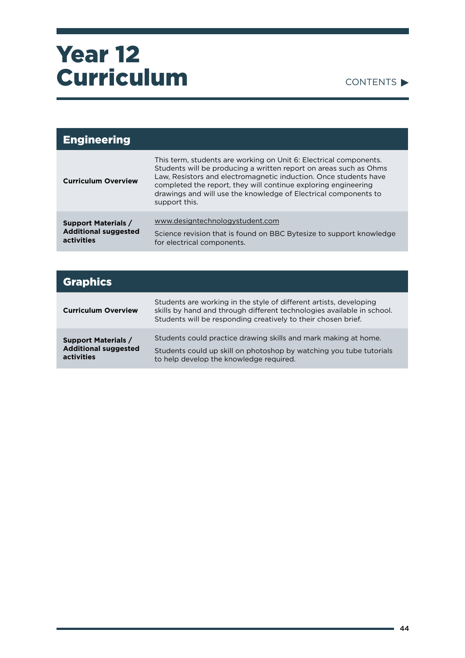

| <b>Engineering</b>                                                      |                                                                                                                                                                                                                                                                                                                                                                  |
|-------------------------------------------------------------------------|------------------------------------------------------------------------------------------------------------------------------------------------------------------------------------------------------------------------------------------------------------------------------------------------------------------------------------------------------------------|
| <b>Curriculum Overview</b>                                              | This term, students are working on Unit 6: Electrical components.<br>Students will be producing a written report on areas such as Ohms<br>Law, Resistors and electromagnetic induction. Once students have<br>completed the report, they will continue exploring engineering<br>drawings and will use the knowledge of Electrical components to<br>support this. |
| <b>Support Materials /</b><br><b>Additional suggested</b><br>activities | www.designtechnologystudent.com<br>Science revision that is found on BBC Bytesize to support knowledge<br>for electrical components.                                                                                                                                                                                                                             |

| <b>Graphics</b>                                                         |                                                                                                                                                                                                               |
|-------------------------------------------------------------------------|---------------------------------------------------------------------------------------------------------------------------------------------------------------------------------------------------------------|
| <b>Curriculum Overview</b>                                              | Students are working in the style of different artists, developing<br>skills by hand and through different technologies available in school.<br>Students will be responding creatively to their chosen brief. |
| <b>Support Materials /</b><br><b>Additional suggested</b><br>activities | Students could practice drawing skills and mark making at home.<br>Students could up skill on photoshop by watching you tube tutorials<br>to help develop the knowledge required.                             |

۰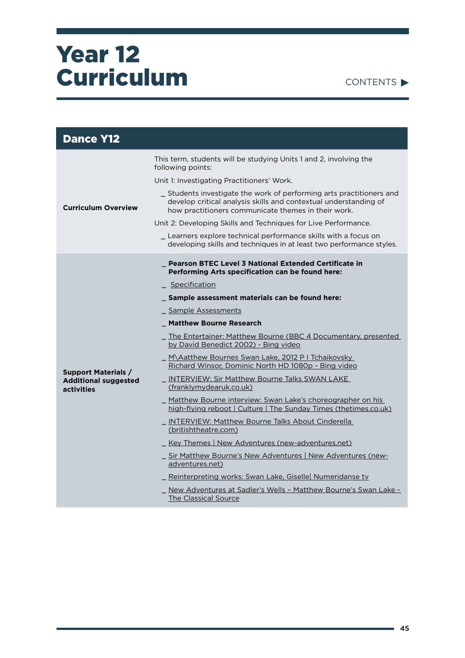

| <b>Dance Y12</b>                                                        |                                                                                                                                                                                                 |  |
|-------------------------------------------------------------------------|-------------------------------------------------------------------------------------------------------------------------------------------------------------------------------------------------|--|
| <b>Curriculum Overview</b>                                              | This term, students will be studying Units 1 and 2, involving the<br>following points:                                                                                                          |  |
|                                                                         | Unit 1: Investigating Practitioners' Work.                                                                                                                                                      |  |
|                                                                         | _ Students investigate the work of performing arts practitioners and<br>develop critical analysis skills and contextual understanding of<br>how practitioners communicate themes in their work. |  |
|                                                                         | Unit 2: Developing Skills and Techniques for Live Performance.                                                                                                                                  |  |
|                                                                         | _ Learners explore technical performance skills with a focus on<br>developing skills and techniques in at least two performance styles.                                                         |  |
|                                                                         | <b>Pearson BTEC Level 3 National Extended Certificate in</b><br>Performing Arts specification can be found here:                                                                                |  |
|                                                                         | Specification                                                                                                                                                                                   |  |
|                                                                         | _ Sample assessment materials can be found here:                                                                                                                                                |  |
|                                                                         | Sample Assessments                                                                                                                                                                              |  |
|                                                                         | _ Matthew Bourne Research                                                                                                                                                                       |  |
|                                                                         | The Entertainer: Matthew Bourne (BBC 4 Documentary, presented<br>by David Benedict 2002) - Bing video                                                                                           |  |
|                                                                         | _ M\Aatthew Bournes Swan Lake, 2012 P I Tchaikovsky<br>Richard Winsor, Dominic North HD 1080p - Bing video                                                                                      |  |
| <b>Support Materials /</b><br><b>Additional suggested</b><br>activities | <b>INTERVIEW: Sir Matthew Bourne Talks SWAN LAKE</b><br>(franklymydearuk.co.uk)                                                                                                                 |  |
|                                                                         | Matthew Bourne interview: Swan Lake's choreographer on his<br>high-flying reboot   Culture   The Sunday Times (thetimes.co.uk)                                                                  |  |
|                                                                         | _ INTERVIEW: Matthew Bourne Talks About Cinderella<br>(britishtheatre.com)                                                                                                                      |  |
|                                                                         | Key Themes   New Adventures (new-adventures.net)                                                                                                                                                |  |
|                                                                         | _ Sir Matthew Bourne's New Adventures   New Adventures (new-<br>adventures.net)                                                                                                                 |  |
|                                                                         | Reinterpreting works: Swan Lake, Giselle Numeridanse tv                                                                                                                                         |  |
|                                                                         | _ New Adventures at Sadler's Wells - Matthew Bourne's Swan Lake -<br>The Classical Source                                                                                                       |  |

÷,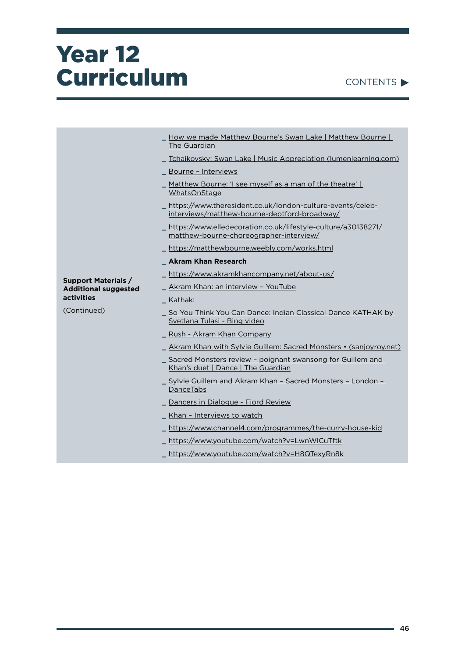| <b>CONTENTS</b> |  |
|-----------------|--|
|                 |  |

|                                                           | How we made Matthew Bourne's Swan Lake   Matthew Bourne                                                    |
|-----------------------------------------------------------|------------------------------------------------------------------------------------------------------------|
|                                                           | The Guardian                                                                                               |
|                                                           | Tchaikovsky: Swan Lake   Music Appreciation (lumenlearning.com)                                            |
|                                                           | Bourne - Interviews                                                                                        |
|                                                           | Matthew Bourne: 'I see myself as a man of the theatre'  <br>WhatsOnStage                                   |
|                                                           | https://www.theresident.co.uk/london-culture-events/celeb-<br>interviews/matthew-bourne-deptford-broadway/ |
|                                                           | https://www.elledecoration.co.uk/lifestyle-culture/a30138271/<br>matthew-bourne-choreographer-interview/   |
|                                                           | https://matthewbourne.weebly.com/works.html                                                                |
|                                                           | <b>Akram Khan Research</b>                                                                                 |
|                                                           | https://www.akramkhancompany.net/about-us/                                                                 |
| <b>Support Materials /</b><br><b>Additional suggested</b> | Akram Khan: an interview - YouTube                                                                         |
| activities                                                | Kathak:                                                                                                    |
| (Continued)                                               | So You Think You Can Dance: Indian Classical Dance KATHAK by<br>Svetlana Tulasi - Bing video               |
|                                                           | Rush - Akram Khan Company                                                                                  |
|                                                           | Akram Khan with Sylvie Guillem: Sacred Monsters • (sanjoyroy.net)                                          |
|                                                           | _ Sacred Monsters review - poignant swansong for Guillem and<br>Khan's duet   Dance   The Guardian         |
|                                                           | Sylvie Guillem and Akram Khan - Sacred Monsters - London -<br><b>Dance Tabs</b>                            |
|                                                           | Dancers in Dialogue - Fjord Review                                                                         |
|                                                           | Khan - Interviews to watch                                                                                 |
|                                                           | https://www.channel4.com/programmes/the-curry-house-kid                                                    |
|                                                           | https://www.youtube.com/watch?v=LwnWlCuTftk                                                                |
|                                                           | https://www.youtube.com/watch?v=H8QTexyRn8k                                                                |